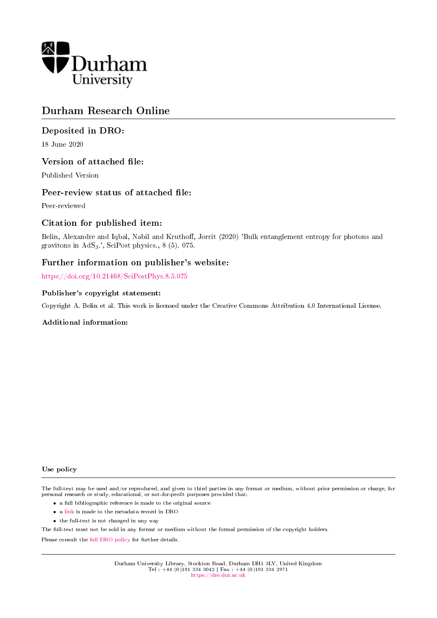

# Durham Research Online

## Deposited in DRO:

18 June 2020

### Version of attached file:

Published Version

### Peer-review status of attached file:

Peer-reviewed

## Citation for published item:

Belin, Alexandre and Iqbal, Nabil and Kruthoff, Jorrit (2020) 'Bulk entanglement entropy for photons and gravitons in  $AdS_3$ .', SciPost physics., 8 (5). 075.

### Further information on publisher's website:

<https://doi.org/10.21468/SciPostPhys.8.5.075>

### Publisher's copyright statement:

Copyright A. Belin et al. This work is licensed under the Creative Commons Attribution 4.0 International License.

#### Additional information:

#### Use policy

The full-text may be used and/or reproduced, and given to third parties in any format or medium, without prior permission or charge, for personal research or study, educational, or not-for-profit purposes provided that:

- a full bibliographic reference is made to the original source
- a [link](http://dro.dur.ac.uk/31084/) is made to the metadata record in DRO
- the full-text is not changed in any way

The full-text must not be sold in any format or medium without the formal permission of the copyright holders.

Please consult the [full DRO policy](https://dro.dur.ac.uk/policies/usepolicy.pdf) for further details.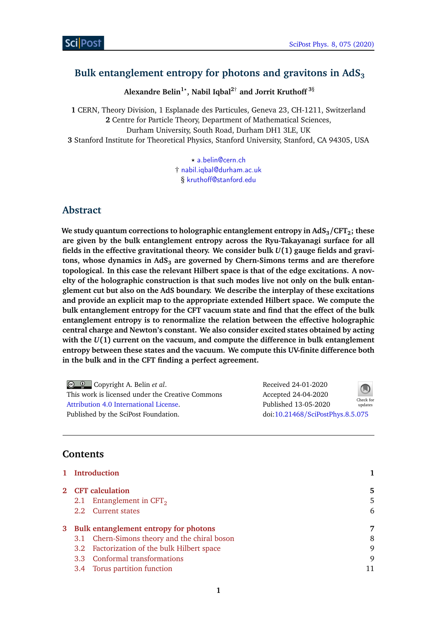# <span id="page-1-0"></span>**Bulk entanglement entropy for photons and gravitons in AdS<sup>3</sup>**

**Alexandre Belin1***?* **, Nabil Iqbal2**† **and Jorrit Kruthoff <sup>3</sup>**§

 CERN, Theory Division, 1 Esplanade des Particules, Geneva 23, CH-1211, Switzerland Centre for Particle Theory, Department of Mathematical Sciences, Durham University, South Road, Durham DH1 3LE, UK Stanford Institute for Theoretical Physics, Stanford University, Stanford, CA 94305, USA

> *?* [a.belin@cern.ch](mailto:a.belin@cern.ch) † [nabil.iqbal@durham.ac.uk](mailto:nabil.iqbal@durham.ac.uk) § [kruthoff@stanford.edu](mailto:kruthoff@stanford.edu)

## **Abstract**

**We study quantum corrections to holographic entanglement entropy in AdS3/CFT2; these are given by the bulk entanglement entropy across the Ryu-Takayanagi surface for all fields in the effective gravitational theory. We consider bulk** *U***(1) gauge fields and gravitons, whose dynamics in AdS<sup>3</sup> are governed by Chern-Simons terms and are therefore topological. In this case the relevant Hilbert space is that of the edge excitations. A novelty of the holographic construction is that such modes live not only on the bulk entanglement cut but also on the AdS boundary. We describe the interplay of these excitations and provide an explicit map to the appropriate extended Hilbert space. We compute the bulk entanglement entropy for the CFT vacuum state and find that the effect of the bulk entanglement entropy is to renormalize the relation between the effective holographic central charge and Newton's constant. We also consider excited states obtained by acting with the** *U***(1) current on the vacuum, and compute the difference in bulk entanglement entropy between these states and the vacuum. We compute this UV-finite difference both in the bulk and in the CFT finding a perfect agreement.**

Copyright A. Belin *et al*. This work is licensed under the Creative Commons [Attribution 4.0 International License.](http://creativecommons.org/licenses/by/4.0/) Published by the SciPost Foundation.

Received 24-01-2020 Accepted 24-04-2020 Published 13-05-2020 doi:10.21468/[SciPostPhys.8.5.075](http://dx.doi.org/10.21468/SciPostPhys.8.5.075)



## **Contents**

| 1 Introduction                               |    |
|----------------------------------------------|----|
| 2 CFT calculation                            | 5  |
| Entanglement in $CFT2$<br>2.1                | 5  |
| 2.2 Current states                           | 6  |
| 3 Bulk entanglement entropy for photons      | 7  |
| 3.1 Chern-Simons theory and the chiral boson | 8  |
| 3.2 Factorization of the bulk Hilbert space  | 9  |
| 3.3 Conformal transformations                | 9  |
| 3.4 Torus partition function                 | 11 |
|                                              |    |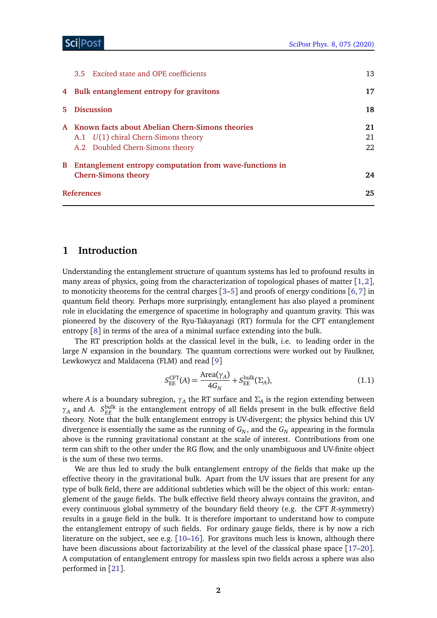| 4 Bulk entanglement entropy for gravitons<br>5 Discussion<br>A Known facts about Abelian Chern-Simons theories<br>A.1 $U(1)$ chiral Chern-Simons theory<br>A.2 Doubled Chern-Simons theory<br>Entanglement entropy computation from wave-functions in<br>B<br><b>Chern-Simons theory</b><br><b>References</b> |  | 3.5 Excited state and OPE coefficients | 13 |
|---------------------------------------------------------------------------------------------------------------------------------------------------------------------------------------------------------------------------------------------------------------------------------------------------------------|--|----------------------------------------|----|
|                                                                                                                                                                                                                                                                                                               |  |                                        | 17 |
|                                                                                                                                                                                                                                                                                                               |  |                                        | 18 |
|                                                                                                                                                                                                                                                                                                               |  |                                        | 21 |
|                                                                                                                                                                                                                                                                                                               |  |                                        | 21 |
|                                                                                                                                                                                                                                                                                                               |  |                                        | 22 |
|                                                                                                                                                                                                                                                                                                               |  |                                        |    |
|                                                                                                                                                                                                                                                                                                               |  |                                        | 24 |
|                                                                                                                                                                                                                                                                                                               |  |                                        | 25 |

### <span id="page-2-0"></span>**1 Introduction**

Understanding the entanglement structure of quantum systems has led to profound results in many areas of physics, going from the characterization of topological phases of matter [[1,](#page-25-1)[2](#page-25-2)], to monoticity theorems for the central charges  $[3-5]$  $[3-5]$  $[3-5]$  and proofs of energy conditions  $[6,7]$  $[6,7]$  $[6,7]$  $[6,7]$  in quantum field theory. Perhaps more surprisingly, entanglement has also played a prominent role in elucidating the emergence of spacetime in holography and quantum gravity. This was pioneered by the discovery of the Ryu-Takayanagi (RT) formula for the CFT entanglement entropy [[8](#page-25-7)] in terms of the area of a minimal surface extending into the bulk.

The RT prescription holds at the classical level in the bulk, i.e. to leading order in the large *N* expansion in the boundary. The quantum corrections were worked out by Faulkner, Lewkowycz and Maldacena (FLM) and read [[9](#page-25-8)]

<span id="page-2-1"></span>
$$
S_{\rm EE}^{\rm CFT}(A) = \frac{\text{Area}(\gamma_A)}{4G_N} + S_{\rm EE}^{\rm bulk}(\Sigma_A),\tag{1.1}
$$

where *A* is a boundary subregion, *γ<sup>A</sup>* the RT surface and *Σ<sup>A</sup>* is the region extending between  $\gamma_A$  and *A*. *S*<sub>EE</sub> is the entanglement entropy of all fields present in the bulk effective field theory. Note that the bulk entanglement entropy is UV-divergent; the physics behind this UV divergence is essentially the same as the running of  $G_N$ , and the  $G_N$  appearing in the formula above is the running gravitational constant at the scale of interest. Contributions from one term can shift to the other under the RG flow, and the only unambiguous and UV-finite object is the sum of these two terms.

We are thus led to study the bulk entanglement entropy of the fields that make up the effective theory in the gravitational bulk. Apart from the UV issues that are present for any type of bulk field, there are additional subtleties which will be the object of this work: entanglement of the gauge fields. The bulk effective field theory always contains the graviton, and every continuous global symmetry of the boundary field theory (e.g. the CFT *R*-symmetry) results in a gauge field in the bulk. It is therefore important to understand how to compute the entanglement entropy of such fields. For ordinary gauge fields, there is by now a rich literature on the subject, see e.g. [[10–](#page-25-9)[16](#page-26-0)]. For gravitons much less is known, although there have been discussions about factorizability at the level of the classical phase space [[17](#page-26-1)[–20](#page-26-2)]. A computation of entanglement entropy for massless spin two fields across a sphere was also performed in [[21](#page-26-3)].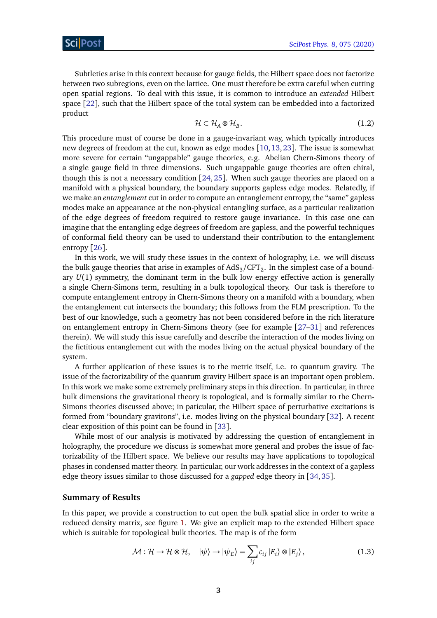Subtleties arise in this context because for gauge fields, the Hilbert space does not factorize between two subregions, even on the lattice. One must therefore be extra careful when cutting open spatial regions. To deal with this issue, it is common to introduce an *extended* Hilbert space [[22](#page-26-4)], such that the Hilbert space of the total system can be embedded into a factorized product

$$
\mathcal{H} \subset \mathcal{H}_A \otimes \mathcal{H}_B. \tag{1.2}
$$

This procedure must of course be done in a gauge-invariant way, which typically introduces new degrees of freedom at the cut, known as edge modes [[10,](#page-25-9)[13,](#page-26-5)[23](#page-26-6)]. The issue is somewhat more severe for certain "ungappable" gauge theories, e.g. Abelian Chern-Simons theory of a single gauge field in three dimensions. Such ungappable gauge theories are often chiral, though this is not a necessary condition [[24,](#page-26-7) [25](#page-26-8)]. When such gauge theories are placed on a manifold with a physical boundary, the boundary supports gapless edge modes. Relatedly, if we make an *entanglement* cut in order to compute an entanglement entropy, the "same" gapless modes make an appearance at the non-physical entangling surface, as a particular realization of the edge degrees of freedom required to restore gauge invariance. In this case one can imagine that the entangling edge degrees of freedom are gapless, and the powerful techniques of conformal field theory can be used to understand their contribution to the entanglement entropy [[26](#page-26-9)].

In this work, we will study these issues in the context of holography, i.e. we will discuss the bulk gauge theories that arise in examples of AdS $_{3}/\mathrm{CFT}_{2}.$  In the simplest case of a boundary *U*(1) symmetry, the dominant term in the bulk low energy effective action is generally a single Chern-Simons term, resulting in a bulk topological theory. Our task is therefore to compute entanglement entropy in Chern-Simons theory on a manifold with a boundary, when the entanglement cut intersects the boundary; this follows from the FLM prescription. To the best of our knowledge, such a geometry has not been considered before in the rich literature on entanglement entropy in Chern-Simons theory (see for example [[27–](#page-26-10)[31](#page-27-0)] and references therein). We will study this issue carefully and describe the interaction of the modes living on the fictitious entanglement cut with the modes living on the actual physical boundary of the system.

A further application of these issues is to the metric itself, i.e. to quantum gravity. The issue of the factorizability of the quantum gravity Hilbert space is an important open problem. In this work we make some extremely preliminary steps in this direction. In particular, in three bulk dimensions the gravitational theory is topological, and is formally similar to the Chern-Simons theories discussed above; in paticular, the Hilbert space of perturbative excitations is formed from "boundary gravitons", i.e. modes living on the physical boundary [[32](#page-27-1)]. A recent clear exposition of this point can be found in [[33](#page-27-2)].

While most of our analysis is motivated by addressing the question of entanglement in holography, the procedure we discuss is somewhat more general and probes the issue of factorizability of the Hilbert space. We believe our results may have applications to topological phases in condensed matter theory. In particular, our work addresses in the context of a gapless edge theory issues similar to those discussed for a *gapped* edge theory in [[34,](#page-27-3)[35](#page-27-4)].

### **Summary of Results**

In this paper, we provide a construction to cut open the bulk spatial slice in order to write a reduced density matrix, see figure [1.](#page-4-0) We give an explicit map to the extended Hilbert space which is suitable for topological bulk theories. The map is of the form

<span id="page-3-0"></span>
$$
\mathcal{M}: \mathcal{H} \to \mathcal{H} \otimes \mathcal{H}, \quad |\psi\rangle \to |\psi_E\rangle = \sum_{ij} c_{ij} |E_i\rangle \otimes |E_j\rangle, \tag{1.3}
$$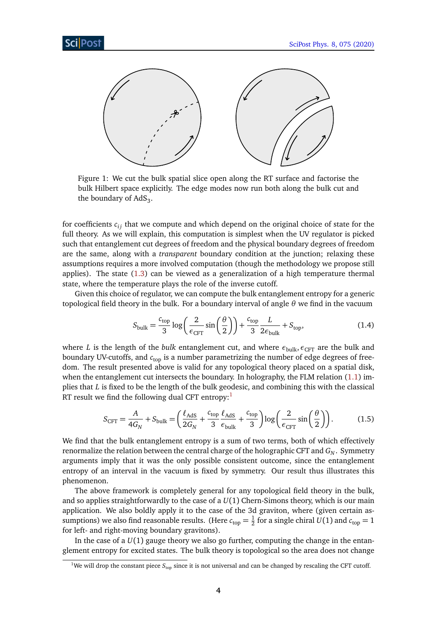<span id="page-4-0"></span>

Figure 1: We cut the bulk spatial slice open along the RT surface and factorise the bulk Hilbert space explicitly. The edge modes now run both along the bulk cut and the boundary of  $AdS_3$ .

for coefficients  $c_{ij}$  that we compute and which depend on the original choice of state for the full theory. As we will explain, this computation is simplest when the UV regulator is picked such that entanglement cut degrees of freedom and the physical boundary degrees of freedom are the same, along with a *transparent* boundary condition at the junction; relaxing these assumptions requires a more involved computation (though the methodology we propose still applies). The state [\(1.3\)](#page-3-0) can be viewed as a generalization of a high temperature thermal state, where the temperature plays the role of the inverse cutoff.

Given this choice of regulator, we can compute the bulk entanglement entropy for a generic topological field theory in the bulk. For a boundary interval of angle *θ* we find in the vacuum

$$
S_{\text{bulk}} = \frac{c_{\text{top}}}{3} \log \left( \frac{2}{\epsilon_{\text{CFT}}} \sin \left( \frac{\theta}{2} \right) \right) + \frac{c_{\text{top}}}{3} \frac{L}{2 \epsilon_{\text{bulk}}} + S_{\text{top}},\tag{1.4}
$$

where *L* is the length of the *bulk* entanglement cut, and where  $\epsilon_{\text{bulk}}, \epsilon_{\text{CFT}}$  are the bulk and boundary UV-cutoffs, and  $c<sub>top</sub>$  is a number parametrizing the number of edge degrees of freedom. The result presented above is valid for any topological theory placed on a spatial disk, when the entanglement cut intersects the boundary. In holography, the FLM relation [\(1.1\)](#page-2-1) implies that *L* is fixed to be the length of the bulk geodesic, and combining this with the classical RT result we find the following dual CFT entropy: $<sup>1</sup>$  $<sup>1</sup>$  $<sup>1</sup>$ </sup>

$$
S_{\text{CFT}} = \frac{A}{4G_N} + S_{\text{bulk}} = \left(\frac{\ell_{\text{AdS}}}{2G_N} + \frac{c_{\text{top}}}{3} \frac{\ell_{\text{AdS}}}{\epsilon_{\text{bulk}}} + \frac{c_{\text{top}}}{3}\right) \log\left(\frac{2}{\epsilon_{\text{CFT}}} \sin\left(\frac{\theta}{2}\right)\right). \tag{1.5}
$$

We find that the bulk entanglement entropy is a sum of two terms, both of which effectively renormalize the relation between the central charge of the holographic CFT and *G<sup>N</sup>* . Symmetry arguments imply that it was the only possible consistent outcome, since the entanglement entropy of an interval in the vacuum is fixed by symmetry. Our result thus illustrates this phenomenon.

The above framework is completely general for any topological field theory in the bulk, and so applies straightforwardly to the case of a *U*(1) Chern-Simons theory, which is our main application. We also boldly apply it to the case of the 3d graviton, where (given certain assumptions) we also find reasonable results. (Here  $c_{\rm top} = \frac{1}{2}$  $\frac{1}{2}$  for a single chiral  $U(1)$  and  $c_{\text{top}} = 1$ for left- and right-moving boundary gravitons).

In the case of a  $U(1)$  gauge theory we also go further, computing the change in the entanglement entropy for excited states. The bulk theory is topological so the area does not change

<sup>&</sup>lt;sup>1</sup>We will drop the constant piece  $S_{\text{top}}$  since it is not universal and can be changed by rescaling the CFT cutoff.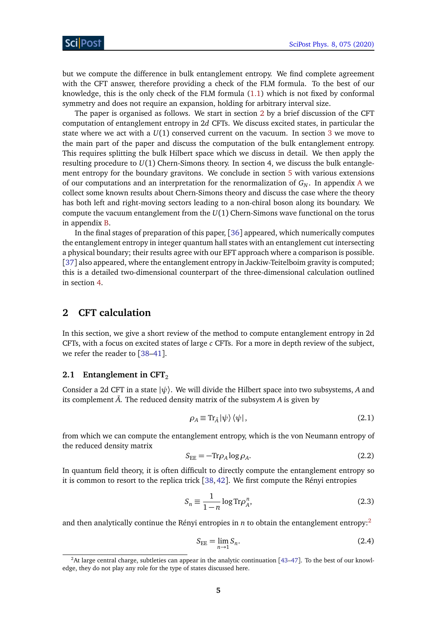but we compute the difference in bulk entanglement entropy. We find complete agreement with the CFT answer, therefore providing a check of the FLM formula. To the best of our knowledge, this is the only check of the FLM formula [\(1.1\)](#page-2-1) which is not fixed by conformal symmetry and does not require an expansion, holding for arbitrary interval size.

The paper is organised as follows. We start in section [2](#page-5-0) by a brief discussion of the CFT computation of entanglement entropy in 2*d* CFTs. We discuss excited states, in particular the state where we act with a *U*(1) conserved current on the vacuum. In section [3](#page-8-0) we move to the main part of the paper and discuss the computation of the bulk entanglement entropy. This requires splitting the bulk Hilbert space which we discuss in detail. We then apply the resulting procedure to *U*(1) Chern-Simons theory. In section 4, we discuss the bulk entanglement entropy for the boundary gravitons. We conclude in section [5](#page-19-0) with various extensions of our computations and an interpretation for the renormalization of  $G_N$ . In appendix [A](#page-21-0) we collect some known results about Chern-Simons theory and discuss the case where the theory has both left and right-moving sectors leading to a non-chiral boson along its boundary. We compute the vacuum entanglement from the *U*(1) Chern-Simons wave functional on the torus in appendix [B.](#page-24-0)

In the final stages of preparation of this paper, [[36](#page-27-5)] appeared, which numerically computes the entanglement entropy in integer quantum hall states with an entanglement cut intersecting a physical boundary; their results agree with our EFT approach where a comparison is possible. [[37](#page-27-6)] also appeared, where the entanglement entropy in Jackiw-Teitelboim gravity is computed; this is a detailed two-dimensional counterpart of the three-dimensional calculation outlined in section [4.](#page-17-0)

## <span id="page-5-0"></span>**2 CFT calculation**

In this section, we give a short review of the method to compute entanglement entropy in 2d CFTs, with a focus on excited states of large *c* CFTs. For a more in depth review of the subject, we refer the reader to [[38–](#page-27-7)[41](#page-27-8)].

### <span id="page-5-1"></span>**2.1 Entanglement in CFT**<sub>2</sub>

Consider a 2d CFT in a state  $|\psi\rangle$ . We will divide the Hilbert space into two subsystems, A and its complement  $\overline{A}$ . The reduced density matrix of the subsystem  $A$  is given by

$$
\rho_A \equiv \text{Tr}_{\bar{A}} |\psi\rangle \langle \psi| \,, \tag{2.1}
$$

from which we can compute the entanglement entropy, which is the von Neumann entropy of the reduced density matrix

$$
S_{\rm EE} = -\text{Tr}\rho_A \log \rho_A. \tag{2.2}
$$

In quantum field theory, it is often difficult to directly compute the entanglement entropy so it is common to resort to the replica trick  $[38, 42]$  $[38, 42]$  $[38, 42]$  $[38, 42]$  $[38, 42]$ . We first compute the Rényi entropies

$$
S_n \equiv \frac{1}{1-n} \log \text{Tr} \rho_A^n,\tag{2.3}
$$

and then analytically continue the Rényi entropies in *n* to obtain the entanglement entropy:<sup>[2](#page-1-0)</sup>

$$
S_{\rm EE} = \lim_{n \to 1} S_n. \tag{2.4}
$$

<sup>&</sup>lt;sup>2</sup>At large central charge, subtleties can appear in the analytic continuation [[43–](#page-27-10)[47](#page-28-0)]. To the best of our knowledge, they do not play any role for the type of states discussed here.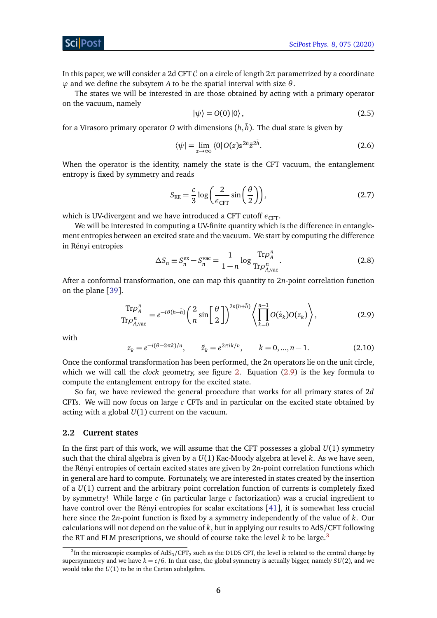In this paper, we will consider a 2d CFT C on a circle of length 2*π* parametrized by a coordinate *ϕ* and we define the subsytem *A* to be the spatial interval with size *θ*.

The states we will be interested in are those obtained by acting with a primary operator on the vacuum, namely

$$
|\psi\rangle = O(0)|0\rangle, \qquad (2.5)
$$

for a Virasoro primary operator *O* with dimensions  $(h,\bar{h}).$  The dual state is given by

$$
\langle \psi | = \lim_{z \to \infty} \langle 0 | O(z) z^{2h} \bar{z}^{2\bar{h}}. \tag{2.6}
$$

When the operator is the identity, namely the state is the CFT vacuum, the entanglement entropy is fixed by symmetry and reads

$$
S_{\rm EE} = \frac{c}{3} \log \left( \frac{2}{\epsilon_{\rm CFT}} \sin \left( \frac{\theta}{2} \right) \right),\tag{2.7}
$$

which is UV-divergent and we have introduced a CFT cutoff  $\epsilon_{\text{CFT}}$ .

We will be interested in computing a UV-finite quantity which is the difference in entanglement entropies between an excited state and the vacuum. We start by computing the difference in Rényi entropies Tr*ρ n*

$$
\Delta S_n \equiv S_n^{\text{ex}} - S_n^{\text{vac}} = \frac{1}{1 - n} \log \frac{\text{Tr} \rho_A^n}{\text{Tr} \rho_{A,\text{vac}}^n}.
$$
 (2.8)

After a conformal transformation, one can map this quantity to 2*n*-point correlation function on the plane [[39](#page-27-11)].

<span id="page-6-1"></span>
$$
\frac{\text{Tr}\rho_A^n}{\text{Tr}\rho_{A,\text{vac}}^n} = e^{-i\theta(h-\bar{h})} \left(\frac{2}{n}\sin\left(\frac{\theta}{2}\right)\right)^{2n(h+\bar{h})} \left\langle \prod_{k=0}^{n-1} O(\tilde{z}_k) O(z_k) \right\rangle, \tag{2.9}
$$

<span id="page-6-2"></span>with

$$
z_k = e^{-i(\theta - 2\pi k)/n}
$$
,  $\tilde{z}_k = e^{2\pi i k/n}$ ,  $k = 0, ..., n - 1$ . (2.10)

Once the conformal transformation has been performed, the 2*n* operators lie on the unit circle, which we will call the *clock* geometry, see figure [2.](#page-7-0) Equation [\(2.9\)](#page-6-1) is the key formula to compute the entanglement entropy for the excited state.

So far, we have reviewed the general procedure that works for all primary states of 2*d* CFTs. We will now focus on large *c* CFTs and in particular on the excited state obtained by acting with a global *U*(1) current on the vacuum.

#### <span id="page-6-0"></span>**2.2 Current states**

In the first part of this work, we will assume that the CFT possesses a global *U*(1) symmetry such that the chiral algebra is given by a *U*(1) Kac-Moody algebra at level *k*. As we have seen, the Rényi entropies of certain excited states are given by 2*n*-point correlation functions which in general are hard to compute. Fortunately, we are interested in states created by the insertion of a *U*(1) current and the arbitrary point correlation function of currents is completely fixed by symmetry! While large *c* (in particular large *c* factorization) was a crucial ingredient to have control over the Rényi entropies for scalar excitations [[41](#page-27-8)], it is somewhat less crucial here since the 2*n*-point function is fixed by a symmetry independently of the value of *k*. Our calculations will not depend on the value of *k*, but in applying our results to AdS/CFT following the RT and FLM prescriptions, we should of course take the level *k* to be large.[3](#page-1-0)

 ${}^{3}$ In the microscopic examples of AdS<sub>3</sub>/CFT<sub>2</sub> such as the D1D5 CFT, the level is related to the central charge by supersymmetry and we have  $k = c/6$ . In that case, the global symmetry is actually bigger, namely  $SU(2)$ , and we would take the *U*(1) to be in the Cartan subalgebra.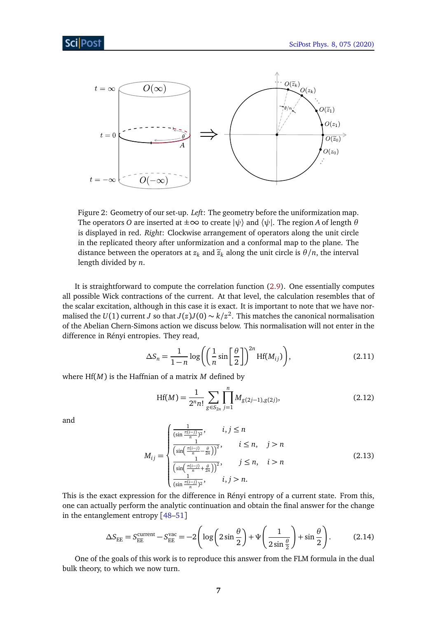<span id="page-7-0"></span>

Figure 2: Geometry of our set-up. *Left*: The geometry before the uniformization map. The operators *O* are inserted at  $\pm \infty$  to create  $|\psi\rangle$  and  $\langle \psi |$ . The region *A* of length  $\theta$ is displayed in red. *Right*: Clockwise arrangement of operators along the unit circle in the replicated theory after unformization and a conformal map to the plane. The distance between the operators at  $z_k$  and  $\tilde{z}_k$  along the unit circle is  $\theta/n$ , the interval length divided by *n*.

It is straightforward to compute the correlation function [\(2.9\)](#page-6-1). One essentially computes all possible Wick contractions of the current. At that level, the calculation resembles that of the scalar excitation, although in this case it is exact. It is important to note that we have normalised the *U*(1) current *J* so that *J*(*z*)*J*(0)  $\sim$  *k*/*z*<sup>2</sup>. This matches the canonical normalisation of the Abelian Chern-Simons action we discuss below. This normalisation will not enter in the difference in Rényi entropies. They read,

<span id="page-7-2"></span>
$$
\Delta S_n = \frac{1}{1-n} \log \left( \left( \frac{1}{n} \sin \left[ \frac{\theta}{2} \right] \right)^{2n} Hf(M_{ij}) \right), \tag{2.11}
$$

where Hf(*M*) is the Haffnian of a matrix *M* defined by

$$
Hf(M) = \frac{1}{2^n n!} \sum_{g \in S_{2n}} \prod_{j=1}^n M_{g(2j-1),g(2j)},
$$
\n(2.12)

and

$$
M_{ij} = \begin{cases} \frac{1}{(\sin \frac{\pi(i-j)}{n})^2}, & i, j \le n \\ \frac{1}{(\sin(\frac{\pi(i-j)}{n} - \frac{\theta}{2n}))^2}, & i \le n, \quad j > n \\ \frac{1}{(\sin(\frac{\pi(i-j)}{n} + \frac{\theta}{2n}))^2}, & j \le n, \quad i > n \\ \frac{1}{(\sin(\frac{\pi(i-j)}{n})^2)}, & i, j > n. \end{cases}
$$
(2.13)

This is the exact expression for the difference in Rényi entropy of a current state. From this, one can actually perform the analytic continuation and obtain the final answer for the change in the entanglement entropy [[48](#page-28-1)[–51](#page-28-2)]

<span id="page-7-1"></span>
$$
\Delta S_{\rm EE} = S_{\rm EE}^{\rm current} - S_{\rm EE}^{\rm vac} = -2 \left( \log \left( 2 \sin \frac{\theta}{2} \right) + \Psi \left( \frac{1}{2 \sin \frac{\theta}{2}} \right) + \sin \frac{\theta}{2} \right). \tag{2.14}
$$

One of the goals of this work is to reproduce this answer from the FLM formula in the dual bulk theory, to which we now turn.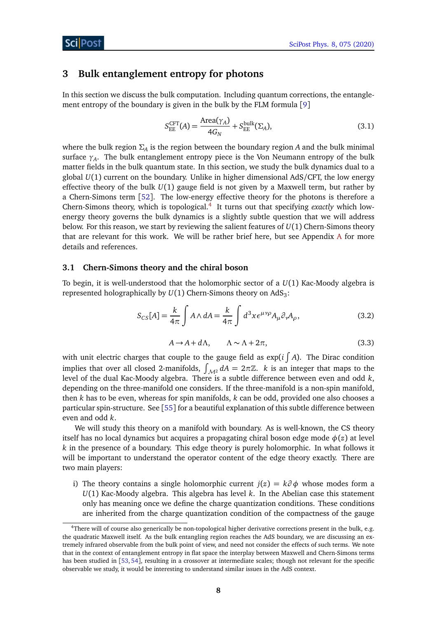## <span id="page-8-0"></span>**3 Bulk entanglement entropy for photons**

In this section we discuss the bulk computation. Including quantum corrections, the entanglement entropy of the boundary is given in the bulk by the FLM formula [[9](#page-25-8)]

<span id="page-8-2"></span>
$$
S_{\rm EE}^{\rm CFT}(A) = \frac{\text{Area}(\gamma_A)}{4G_N} + S_{\rm EE}^{\rm bulk}(\Sigma_A),\tag{3.1}
$$

where the bulk region  $\Sigma_A$  is the region between the boundary region *A* and the bulk minimal surface *γ<sup>A</sup>* . The bulk entanglement entropy piece is the Von Neumann entropy of the bulk matter fields in the bulk quantum state. In this section, we study the bulk dynamics dual to a global *U*(1) current on the boundary. Unlike in higher dimensional AdS/CFT, the low energy effective theory of the bulk  $U(1)$  gauge field is not given by a Maxwell term, but rather by a Chern-Simons term [[52](#page-28-3)]. The low-energy effective theory for the photons is therefore a Chern-Simons theory, which is topological.<sup>[4](#page-1-0)</sup> It turns out that specifying *exactly* which lowenergy theory governs the bulk dynamics is a slightly subtle question that we will address below. For this reason, we start by reviewing the salient features of *U*(1) Chern-Simons theory that are relevant for this work. We will be rather brief here, but see Appendix [A](#page-21-0) for more details and references.

#### <span id="page-8-1"></span>**3.1 Chern-Simons theory and the chiral boson**

To begin, it is well-understood that the holomorphic sector of a *U*(1) Kac-Moody algebra is represented holographically by  $U(1)$  Chern-Simons theory on AdS<sub>3</sub>:

$$
S_{CS}[A] = \frac{k}{4\pi} \int A \wedge dA = \frac{k}{4\pi} \int d^3x \, e^{\mu\nu\rho} A_{\mu} \partial_{\nu} A_{\rho}, \tag{3.2}
$$

<span id="page-8-4"></span>
$$
A \to A + d\Lambda, \qquad \Lambda \sim \Lambda + 2\pi,\tag{3.3}
$$

<span id="page-8-3"></span>with unit electric charges that couple to the gauge field as  $\exp(i\int A)$ . The Dirac condition implies that over all closed 2-manifolds,  $\int_{\mathcal{M}^2} dA = 2\pi \mathbb{Z}$ . *k* is an integer that maps to the level of the dual Kac-Moody algebra. There is a subtle difference between even and odd *k*, depending on the three-manifold one considers. If the three-manifold is a non-spin manifold, then *k* has to be even, whereas for spin manifolds, *k* can be odd, provided one also chooses a particular spin-structure. See [[55](#page-28-4)] for a beautiful explanation of this subtle difference between even and odd *k*.

We will study this theory on a manifold with boundary. As is well-known, the CS theory itself has no local dynamics but acquires a propagating chiral boson edge mode  $\phi(z)$  at level *k* in the presence of a boundary. This edge theory is purely holomorphic. In what follows it will be important to understand the operator content of the edge theory exactly. There are two main players:

i) The theory contains a single holomorphic current  $j(z) = k\partial \phi$  whose modes form a *U*(1) Kac-Moody algebra. This algebra has level *k*. In the Abelian case this statement only has meaning once we define the charge quantization conditions. These conditions are inherited from the charge quantization condition of the compactness of the gauge

<sup>4</sup>There will of course also generically be non-topological higher derivative corrections present in the bulk, e.g. the quadratic Maxwell itself. As the bulk entangling region reaches the AdS boundary, we are discussing an extremely infrared observable from the bulk point of view, and need not consider the effects of such terms. We note that in the context of entanglement entropy in flat space the interplay between Maxwell and Chern-Simons terms has been studied in [[53,](#page-28-5) [54](#page-28-6)], resulting in a crossover at intermediate scales; though not relevant for the specific observable we study, it would be interesting to understand similar issues in the AdS context.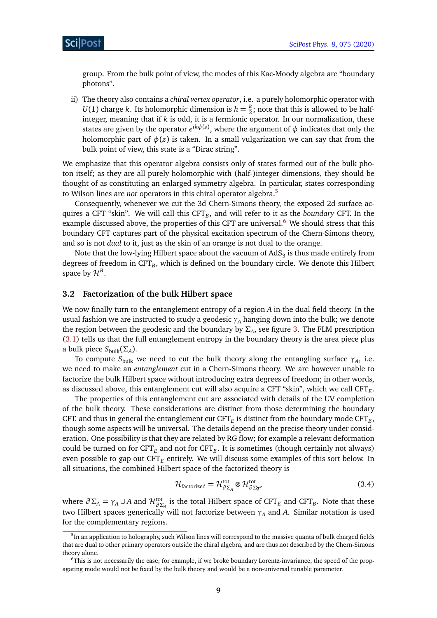group. From the bulk point of view, the modes of this Kac-Moody algebra are "boundary photons".

ii) The theory also contains a *chiral vertex operator*, i.e. a purely holomorphic operator with  $U(1)$  charge *k*. Its holomorphic dimension is  $h = \frac{k}{2}$  $\frac{\kappa}{2}$ ; note that this is allowed to be halfinteger, meaning that if *k* is odd, it is a fermionic operator. In our normalization, these states are given by the operator  $e^{i k \phi(z)}$ , where the argument of  $\phi$  indicates that only the holomorphic part of  $\phi(z)$  is taken. In a small vulgarization we can say that from the bulk point of view, this state is a "Dirac string".

We emphasize that this operator algebra consists only of states formed out of the bulk photon itself; as they are all purely holomorphic with (half-)integer dimensions, they should be thought of as constituting an enlarged symmetry algebra. In particular, states corresponding to Wilson lines are *not* operators in this chiral operator algebra.[5](#page-1-0)

Consequently, whenever we cut the 3d Chern-Simons theory, the exposed 2d surface acquires a CFT "skin". We will call this CFT*<sup>B</sup>* , and will refer to it as the *boundary* CFT. In the example discussed above, the properties of this CFT are universal.<sup>[6](#page-1-0)</sup> We should stress that this boundary CFT captures part of the physical excitation spectrum of the Chern-Simons theory, and so is not *dual* to it, just as the skin of an orange is not dual to the orange.

Note that the low-lying Hilbert space about the vacuum of  $\mathrm{AdS}_3$  is thus made entirely from degrees of freedom in CFT*<sup>B</sup>* , which is defined on the boundary circle. We denote this Hilbert space by  $\mathcal{H}^B.$ 

### <span id="page-9-0"></span>**3.2 Factorization of the bulk Hilbert space**

We now finally turn to the entanglement entropy of a region *A* in the dual field theory. In the usual fashion we are instructed to study a geodesic *γ<sup>A</sup>* hanging down into the bulk; we denote the region between the geodesic and the boundary by *Σ<sup>A</sup>* , see figure [3.](#page-10-1) The FLM prescription [\(3.1\)](#page-8-2) tells us that the full entanglement entropy in the boundary theory is the area piece plus a bulk piece *S*bulk(*Σ<sup>A</sup>* ).

To compute  $S_{\text{bulk}}$  we need to cut the bulk theory along the entangling surface  $\gamma_A$ , i.e. we need to make an *entanglement* cut in a Chern-Simons theory. We are however unable to factorize the bulk Hilbert space without introducing extra degrees of freedom; in other words, as discussed above, this entanglement cut will also acquire a CFT "skin", which we call  $\mathrm{CFT}_E.$ 

The properties of this entanglement cut are associated with details of the UV completion of the bulk theory. These considerations are distinct from those determining the boundary CFT, and thus in general the entanglement cut  $\text{CFT}_E$  is distinct from the boundary mode  $\text{CFT}_B$ , though some aspects will be universal. The details depend on the precise theory under consideration. One possibility is that they are related by RG flow; for example a relevant deformation could be turned on for  $\text{CFT}_E$  and not for  $\text{CFT}_B$ . It is sometimes (though certainly not always) even possible to gap out CFT*<sup>E</sup>* entirely. We will discuss some examples of this sort below. In all situations, the combined Hilbert space of the factorized theory is

<span id="page-9-1"></span>
$$
\mathcal{H}_{\text{factorized}} = \mathcal{H}_{\partial \Sigma_{A}}^{\text{tot}} \otimes \mathcal{H}_{\partial \Sigma_{A}^{-}}^{\text{tot}},\tag{3.4}
$$

where  $\partial \Sigma_A = \gamma_A \cup A$  and  $\mathcal{H}_{\partial \Sigma_A}^{\text{tot}}$  is the total Hilbert space of CFT<sub>*E*</sub> and CFT<sub>*B*</sub>. Note that these two Hilbert spaces generically will not factorize between *γ<sup>A</sup>* and *A*. Similar notation is used for the complementary regions.

 $^5$ In an application to holography, such Wilson lines will correspond to the massive quanta of bulk charged fields that are dual to other primary operators outside the chiral algebra, and are thus not described by the Chern-Simons theory alone.

<sup>6</sup>This is not necessarily the case; for example, if we broke boundary Lorentz-invariance, the speed of the propagating mode would not be fixed by the bulk theory and would be a non-universal tunable parameter.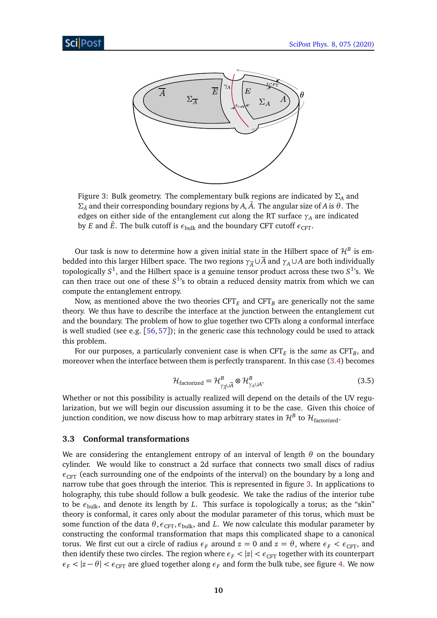<span id="page-10-1"></span>

Figure 3: Bulk geometry. The complementary bulk regions are indicated by *Σ<sup>A</sup>* and *ΣA*¯ and their corresponding boundary regions by *A*, *A*¯. The angular size of *A* is *θ*. The edges on either side of the entanglement cut along the RT surface  $\gamma_A$  are indicated by *E* and  $\bar{E}$ . The bulk cutoff is  $\epsilon_{\text{bulk}}$  and the boundary CFT cutoff  $\epsilon_{\text{CFT}}$ .

Our task is now to determine how a given initial state in the Hilbert space of  $\mathcal{H}^B$  is embedded into this larger Hilbert space. The two regions  $\gamma_{\overline{A}} \cup \overline{A}$  and  $\gamma_A \cup A$  are both individually topologically  $S^1$ , and the Hilbert space is a genuine tensor product across these two  $S^1$ 's. We can then trace out one of these  $S^1$ 's to obtain a reduced density matrix from which we can compute the entanglement entropy.

Now, as mentioned above the two theories  $CFT<sub>E</sub>$  and  $CFT<sub>B</sub>$  are generically not the same theory. We thus have to describe the interface at the junction between the entanglement cut and the boundary. The problem of how to glue together two CFTs along a conformal interface is well studied (see e.g.  $[56, 57]$  $[56, 57]$  $[56, 57]$  $[56, 57]$  $[56, 57]$ ); in the generic case this technology could be used to attack this problem.

For our purposes, a particularly convenient case is when  $\text{CFT}_E$  is the *same* as  $\text{CFT}_B$ , and moreover when the interface between them is perfectly transparent. In this case [\(3.4\)](#page-9-1) becomes

$$
\mathcal{H}_{\text{factorized}} = \mathcal{H}_{\gamma_{\overline{A}} \cup \overline{A}}^B \otimes \mathcal{H}_{\gamma_A \cup A}^B.
$$
\n(3.5)

Whether or not this possibility is actually realized will depend on the details of the UV regularization, but we will begin our discussion assuming it to be the case. Given this choice of junction condition, we now discuss how to map arbitrary states in  $\mathcal{H}^B$  to  $\mathcal{H}_{\text{factorized}}$ .

#### <span id="page-10-0"></span>**3.3 Conformal transformations**

We are considering the entanglement entropy of an interval of length *θ* on the boundary cylinder. We would like to construct a 2d surface that connects two small discs of radius  $\epsilon$ <sub>CFT</sub> (each surrounding one of the endpoints of the interval) on the boundary by a long and narrow tube that goes through the interior. This is represented in figure [3.](#page-10-1) In applications to holography, this tube should follow a bulk geodesic. We take the radius of the interior tube to be *ε*bulk, and denote its length by *L*. This surface is topologically a torus; as the "skin" theory is conformal, it cares only about the modular parameter of this torus, which must be some function of the data  $\theta$ ,  $\epsilon_{\text{CFT}}$ ,  $\epsilon_{\text{bulk}}$ , and *L*. We now calculate this modular parameter by constructing the conformal transformation that maps this complicated shape to a canonical torus. We first cut out a circle of radius  $\epsilon_F$  around  $z = 0$  and  $z = \theta$ , where  $\epsilon_F < \epsilon_{CFT}$ , and then identify these two circles. The region where  $\epsilon_F < |z| < \epsilon_{CFT}$  together with its counterpart  $\epsilon_F$  <  $|z - \theta|$  <  $\epsilon_{CFT}$  are glued together along  $\epsilon_F$  and form the bulk tube, see figure [4.](#page-11-0) We now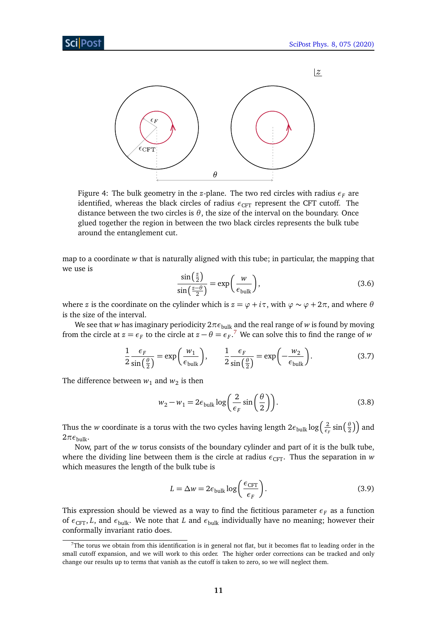<span id="page-11-0"></span>

Figure 4: The bulk geometry in the *z*-plane. The two red circles with radius  $\epsilon_F$  are identified, whereas the black circles of radius  $\epsilon_{CFT}$  represent the CFT cutoff. The distance between the two circles is  $\theta$ , the size of the interval on the boundary. Once glued together the region in between the two black circles represents the bulk tube around the entanglement cut.

<span id="page-11-2"></span>map to a coordinate *w* that is naturally aligned with this tube; in particular, the mapping that we use is

$$
\frac{\sin\left(\frac{z}{2}\right)}{\sin\left(\frac{z-\theta}{2}\right)} = \exp\left(\frac{w}{\epsilon_{\text{bulk}}}\right),\tag{3.6}
$$

where *z* is the coordinate on the cylinder which is  $z = \varphi + i\tau$ , with  $\varphi \sim \varphi + 2\pi$ , and where  $\theta$ is the size of the interval.

We see that *w* has imaginary periodicity  $2\pi\epsilon_{\text{bulk}}$  and the real range of *w* is found by moving from the circle at  $z = \epsilon_F$  to the circle at  $z - \theta = \epsilon_F$ .<sup>[7](#page-1-0)</sup> We can solve this to find the range of *w* 

$$
\frac{1}{2}\frac{\epsilon_F}{\sin\left(\frac{\theta}{2}\right)} = \exp\left(\frac{w_1}{\epsilon_{\text{bulk}}}\right), \qquad \frac{1}{2}\frac{\epsilon_F}{\sin\left(\frac{\theta}{2}\right)} = \exp\left(-\frac{w_2}{\epsilon_{\text{bulk}}}\right). \tag{3.7}
$$

The difference between  $w_1$  and  $w_2$  is then

$$
w_2 - w_1 = 2\epsilon_{\text{bulk}} \log\left(\frac{2}{\epsilon_F} \sin\left(\frac{\theta}{2}\right)\right). \tag{3.8}
$$

Thus the *w* coordinate is a torus with the two cycles having length  $2\epsilon_{\rm bulk}\log\left(\frac{2}{\epsilon_{\rm f}}\right)$  $\frac{2}{\epsilon_F}$  sin $\left(\frac{\theta}{2}\right)$  $\left(\frac{\theta}{2}\right)\right)$  and  $2\pi\epsilon_{\text{bulk}}$ .

Now, part of the *w* torus consists of the boundary cylinder and part of it is the bulk tube, where the dividing line between them is the circle at radius  $\epsilon_{CFT}$ . Thus the separation in *w* which measures the length of the bulk tube is

<span id="page-11-1"></span>
$$
L = \Delta w = 2\epsilon_{\text{bulk}} \log \left( \frac{\epsilon_{\text{CFT}}}{\epsilon_F} \right). \tag{3.9}
$$

This expression should be viewed as a way to find the fictitious parameter  $\epsilon_F$  as a function of  $\epsilon_{CFT}$ , *L*, and  $\epsilon_{bulk}$ . We note that *L* and  $\epsilon_{bulk}$  individually have no meaning; however their conformally invariant ratio does.

 $7$ The torus we obtain from this identification is in general not flat, but it becomes flat to leading order in the small cutoff expansion, and we will work to this order. The higher order corrections can be tracked and only change our results up to terms that vanish as the cutoff is taken to zero, so we will neglect them.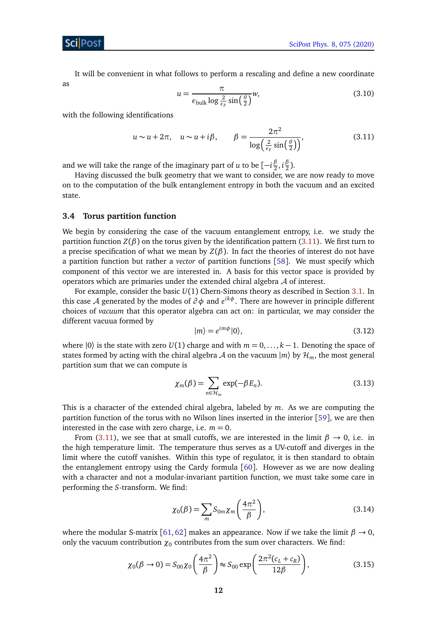It will be convenient in what follows to perform a rescaling and define a new coordinate as

<span id="page-12-1"></span>
$$
u = \frac{\pi}{\epsilon_{\text{bulk}} \log \frac{2}{\epsilon_F} \sin(\frac{\theta}{2})} w,
$$
\n(3.10)

with the following identifications

$$
u \sim u + 2\pi, \quad u \sim u + i\beta, \qquad \beta = \frac{2\pi^2}{\log\left(\frac{2}{\epsilon_F} \sin\left(\frac{\theta}{2}\right)\right)},\tag{3.11}
$$

and we will take the range of the imaginary part of  $u$  to be  $[-i\frac{\beta}{2}]$  $\frac{\beta}{2}$ ,  $i\frac{\beta}{2}$  $\frac{p}{2}$ ).

Having discussed the bulk geometry that we want to consider, we are now ready to move on to the computation of the bulk entanglement entropy in both the vacuum and an excited state.

#### <span id="page-12-0"></span>**3.4 Torus partition function**

We begin by considering the case of the vacuum entanglement entropy, i.e. we study the partition function  $Z(\beta)$  on the torus given by the identification pattern [\(3.11\)](#page-12-1). We first turn to a precise specification of what we mean by  $Z(\beta)$ . In fact the theories of interest do not have a partition function but rather a *vector* of partition functions [[58](#page-28-9)]. We must specify which component of this vector we are interested in. A basis for this vector space is provided by operators which are primaries under the extended chiral algebra  $A$  of interest.

For example, consider the basic *U*(1) Chern-Simons theory as described in Section [3.1.](#page-8-1) In this case A generated by the modes of *∂ φ* and *e ikφ*. There are however in principle different choices of *vacuum* that this operator algebra can act on: in particular, we may consider the different vacuua formed by

$$
|m\rangle = e^{im\phi}|0\rangle, \tag{3.12}
$$

where  $|0\rangle$  is the state with zero *U*(1) charge and with  $m = 0, \ldots, k - 1$ . Denoting the space of states formed by acting with the chiral algebra A on the vacuum  $|m\rangle$  by  $\mathcal{H}_m$ , the most general partition sum that we can compute is

<span id="page-12-2"></span>
$$
\chi_m(\beta) = \sum_{n \in \mathcal{H}_m} \exp(-\beta E_n). \tag{3.13}
$$

This is a character of the extended chiral algebra, labeled by *m*. As we are computing the partition function of the torus with no Wilson lines inserted in the interior [[59](#page-28-10)], we are then interested in the case with zero charge, i.e.  $m = 0$ .

From [\(3.11\)](#page-12-1), we see that at small cutoffs, we are interested in the limit  $\beta \rightarrow 0$ , i.e. in the high temperature limit. The temperature thus serves as a UV-cutoff and diverges in the limit where the cutoff vanishes. Within this type of regulator, it is then standard to obtain the entanglement entropy using the Cardy formula  $[60]$  $[60]$  $[60]$ . However as we are now dealing with a character and not a modular-invariant partition function, we must take some care in performing the *S*-transform. We find:

$$
\chi_0(\beta) = \sum_m S_{0m} \chi_m \left(\frac{4\pi^2}{\beta}\right),\tag{3.14}
$$

where the modular S-matrix [[61,](#page-28-12) [62](#page-28-13)] makes an appearance. Now if we take the limit  $\beta \rightarrow 0$ , only the vacuum contribution  $\chi_0$  contributes from the sum over characters. We find:

$$
\chi_0(\beta \to 0) = S_{00}\chi_0\left(\frac{4\pi^2}{\beta}\right) \approx S_{00} \exp\left(\frac{2\pi^2(c_L + c_R)}{12\beta}\right),\tag{3.15}
$$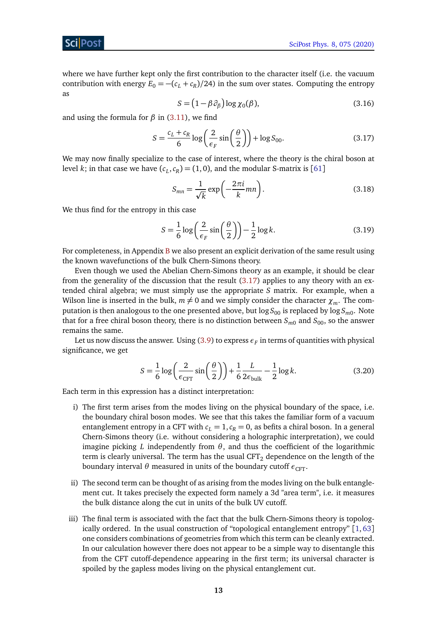where we have further kept only the first contribution to the character itself (i.e. the vacuum contribution with energy  $E_0 = -(c_L + c_R)/24$  in the sum over states. Computing the entropy as

<span id="page-13-0"></span>
$$
S = (1 - \beta \partial_{\beta}) \log \chi_0(\beta), \tag{3.16}
$$

and using the formula for *β* in [\(3.11\)](#page-12-1), we find

$$
S = \frac{c_L + c_R}{6} \log \left( \frac{2}{\epsilon_F} \sin \left( \frac{\theta}{2} \right) \right) + \log S_{00}.
$$
 (3.17)

We may now finally specialize to the case of interest, where the theory is the chiral boson at level *k*; in that case we have  $(c_L, c_R) = (1, 0)$ , and the modular S-matrix is [[61](#page-28-12)]

<span id="page-13-1"></span>
$$
S_{mn} = \frac{1}{\sqrt{k}} \exp\left(-\frac{2\pi i}{k}mn\right). \tag{3.18}
$$

We thus find for the entropy in this case

$$
S = \frac{1}{6} \log \left( \frac{2}{\epsilon_F} \sin \left( \frac{\theta}{2} \right) \right) - \frac{1}{2} \log k. \tag{3.19}
$$

For completeness, in Appendix [B](#page-24-0) we also present an explicit derivation of the same result using the known wavefunctions of the bulk Chern-Simons theory.

Even though we used the Abelian Chern-Simons theory as an example, it should be clear from the generality of the discussion that the result  $(3.17)$  applies to any theory with an extended chiral algebra; we must simply use the appropriate *S* matrix. For example, when a Wilson line is inserted in the bulk,  $m \neq 0$  and we simply consider the character  $\chi_m$ . The computation is then analogous to the one presented above, but  $\log S_{00}$  is replaced by  $\log S_{m0}.$  Note that for a free chiral boson theory, there is no distinction between  $S_{m0}$  and  $S_{00}$ , so the answer remains the same.

Let us now discuss the answer. Using [\(3.9\)](#page-11-1) to express  $\epsilon_F$  in terms of quantities with physical significance, we get

$$
S = \frac{1}{6} \log \left( \frac{2}{\epsilon_{\text{CFT}}} \sin \left( \frac{\theta}{2} \right) \right) + \frac{1}{6} \frac{L}{2 \epsilon_{\text{bulk}}} - \frac{1}{2} \log k. \tag{3.20}
$$

Each term in this expression has a distinct interpretation:

- i) The first term arises from the modes living on the physical boundary of the space, i.e. the boundary chiral boson modes. We see that this takes the familiar form of a vacuum entanglement entropy in a CFT with  $c_L = 1$ ,  $c_R = 0$ , as befits a chiral boson. In a general Chern-Simons theory (i.e. without considering a holographic interpretation), we could imagine picking *L* independently from  $\theta$ , and thus the coefficient of the logarithmic term is clearly universal. The term has the usual  $CFT<sub>2</sub>$  dependence on the length of the boundary interval *θ* measured in units of the boundary cutoff  $\epsilon_{CFT}$ .
- ii) The second term can be thought of as arising from the modes living on the bulk entanglement cut. It takes precisely the expected form namely a 3d "area term", i.e. it measures the bulk distance along the cut in units of the bulk UV cutoff.
- iii) The final term is associated with the fact that the bulk Chern-Simons theory is topologically ordered. In the usual construction of "topological entanglement entropy" [[1,](#page-25-1) [63](#page-28-14)] one considers combinations of geometries from which this term can be cleanly extracted. In our calculation however there does not appear to be a simple way to disentangle this from the CFT cutoff-dependence appearing in the first term; its universal character is spoiled by the gapless modes living on the physical entanglement cut.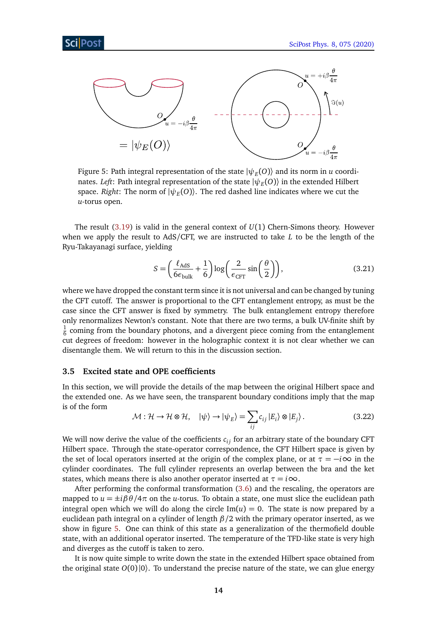<span id="page-14-1"></span>

Figure 5: Path integral representation of the state  $|\psi_{E}^{}(O)\rangle$  and its norm in  $u$  coordinates. *Left*: Path integral representation of the state  $|\psi_{E}(O)\rangle$  in the extended Hilbert space. *Right*: The norm of  $|\psi_E(O)\rangle$ . The red dashed line indicates where we cut the *u*-torus open.

The result [\(3.19\)](#page-13-1) is valid in the general context of *U*(1) Chern-Simons theory. However when we apply the result to AdS/CFT, we are instructed to take *L* to be the length of the Ryu-Takayanagi surface, yielding

$$
S = \left(\frac{\ell_{\text{AdS}}}{6\epsilon_{\text{bulk}}} + \frac{1}{6}\right) \log \left(\frac{2}{\epsilon_{\text{CFT}}} \sin \left(\frac{\theta}{2}\right)\right),\tag{3.21}
$$

where we have dropped the constant term since it is not universal and can be changed by tuning the CFT cutoff. The answer is proportional to the CFT entanglement entropy, as must be the case since the CFT answer is fixed by symmetry. The bulk entanglement entropy therefore only renormalizes Newton's constant. Note that there are two terms, a bulk UV-finite shift by 1  $\frac{1}{6}$  coming from the boundary photons, and a divergent piece coming from the entanglement cut degrees of freedom: however in the holographic context it is not clear whether we can disentangle them. We will return to this in the discussion section.

### <span id="page-14-0"></span>**3.5 Excited state and OPE coefficients**

In this section, we will provide the details of the map between the original Hilbert space and the extended one. As we have seen, the transparent boundary conditions imply that the map is of the form

$$
\mathcal{M}: \mathcal{H} \to \mathcal{H} \otimes \mathcal{H}, \quad |\psi\rangle \to |\psi_E\rangle = \sum_{ij} c_{ij} |E_i\rangle \otimes |E_j\rangle. \tag{3.22}
$$

We will now derive the value of the coefficients  $c_{ij}$  for an arbitrary state of the boundary CFT Hilbert space. Through the state-operator correspondence, the CFT Hilbert space is given by the set of local operators inserted at the origin of the complex plane, or at  $\tau = -i\infty$  in the cylinder coordinates. The full cylinder represents an overlap between the bra and the ket states, which means there is also another operator inserted at  $\tau = i\infty$ .

After performing the conformal transformation [\(3.6\)](#page-11-2) and the rescaling, the operators are mapped to  $u = \pm i \beta \theta / 4\pi$  on the *u*-torus. To obtain a state, one must slice the euclidean path integral open which we will do along the circle  $Im(u) = 0$ . The state is now prepared by a euclidean path integral on a cylinder of length *β/*2 with the primary operator inserted, as we show in figure [5.](#page-14-1) One can think of this state as a generalization of the thermofield double state, with an additional operator inserted. The temperature of the TFD-like state is very high and diverges as the cutoff is taken to zero.

It is now quite simple to write down the state in the extended Hilbert space obtained from the original state  $O(0)|0\rangle$ . To understand the precise nature of the state, we can glue energy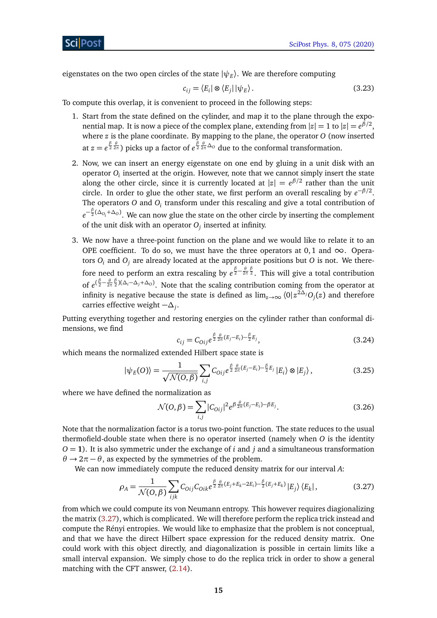eigenstates on the two open circles of the state  $|\psi_E\rangle$ . We are therefore computing

$$
c_{ij} = \langle E_i | \otimes \langle E_j | | \psi_E \rangle. \tag{3.23}
$$

To compute this overlap, it is convenient to proceed in the following steps:

- 1. Start from the state defined on the cylinder, and map it to the plane through the exponential map. It is now a piece of the complex plane, extending from  $|z|=1$  to  $|z| = e^{\beta/2}$ , where *z* is the plane coordinate. By mapping to the plane, the operator *O* (now inserted at  $z=e^{\frac{\beta}{2}\frac{\theta}{2\pi}}$ ) picks up a factor of  $e^{\frac{\beta}{2}\frac{\theta}{2\pi}\Delta_0}$  due to the conformal transformation.
- 2. Now, we can insert an energy eigenstate on one end by gluing in a unit disk with an operator  $O_i$  inserted at the origin. However, note that we cannot simply insert the state along the other circle, since it is currently located at  $|z| = e^{\beta/2}$  rather than the unit circle. In order to glue the other state, we first perform an overall rescaling by  $e^{-\beta/2}$ . The operators *O* and *O*<sub>*i*</sub> transform under this rescaling and give a total contribution of *e*<sup>− β</sup> (∆<sub>*Oi*</sub> +∆<sub>*O*</sub>). We can now glue the state on the other circle by inserting the complement of the unit disk with an operator *O<sup>j</sup>* inserted at infinity.
- 3. We now have a three-point function on the plane and we would like to relate it to an OPE coefficient. To do so, we must have the three operators at 0,1 and  $\infty$ . Operators  $O_i$  and  $O_j$  are already located at the appropriate positions but  $O$  is not. We therefore need to perform an extra rescaling by  $e^{\frac{\beta}{2} - \frac{\theta}{2\pi} \frac{\beta}{2}}$ . This will give a total contribution of  $e^{(\frac{\beta}{2}-\frac{\theta}{2\pi}\frac{\beta}{2})(\Delta_i-\Delta_j+\Delta_0)}$ . Note that the scaling contribution coming from the operator at infinity is negative because the state is defined as  $\lim_{z\to\infty}\bra{0}z^{2\Delta_j}O_j(z)$  and therefore carries effective weight −*∆<sup>j</sup>* .

Putting everything together and restoring energies on the cylinder rather than conformal dimensions, we find

$$
c_{ij} = C_{0ij} e^{\frac{\beta}{2} \frac{\theta}{2\pi} (E_j - E_i) - \frac{\beta}{2} E_j},
$$
\n(3.24)

which means the normalized extended Hilbert space state is

$$
|\psi_E(O)\rangle = \frac{1}{\sqrt{\mathcal{N}(O,\beta)}} \sum_{i,j} C_{Oij} e^{\frac{\beta}{2} \frac{\theta}{2\pi} (E_j - E_i) - \frac{\beta}{2} E_j} |E_i\rangle \otimes |E_j\rangle, \qquad (3.25)
$$

where we have defined the normalization as

<span id="page-15-0"></span>
$$
\mathcal{N}(O,\beta) = \sum_{i,j} |C_{Oij}|^2 e^{\beta \frac{\theta}{2\pi} (E_j - E_i) - \beta E_j}.
$$
\n(3.26)

Note that the normalization factor is a torus two-point function. The state reduces to the usual thermofield-double state when there is no operator inserted (namely when *O* is the identity *O* = **1**). It is also symmetric under the exchange of *i* and *j* and a simultaneous transformation  $\theta \rightarrow 2\pi - \theta$ , as expected by the symmetries of the problem.

We can now immediately compute the reduced density matrix for our interval *A*:

$$
\rho_A = \frac{1}{\mathcal{N}(O,\beta)} \sum_{ijk} C_{0ij} C_{0ik} e^{\frac{\beta}{2} \frac{\theta}{2\pi} (E_j + E_k - 2E_i) - \frac{\beta}{2} (E_j + E_k)} |E_j\rangle \langle E_k|,
$$
(3.27)

from which we could compute its von Neumann entropy. This however requires diagionalizing the matrix [\(3.27\)](#page-15-0), which is complicated. We will therefore perform the replica trick instead and compute the Rényi entropies. We would like to emphasize that the problem is not conceptual, and that we have the direct Hilbert space expression for the reduced density matrix. One could work with this object directly, and diagonalization is possible in certain limits like a small interval expansion. We simply chose to do the replica trick in order to show a general matching with the CFT answer, [\(2.14\)](#page-7-1).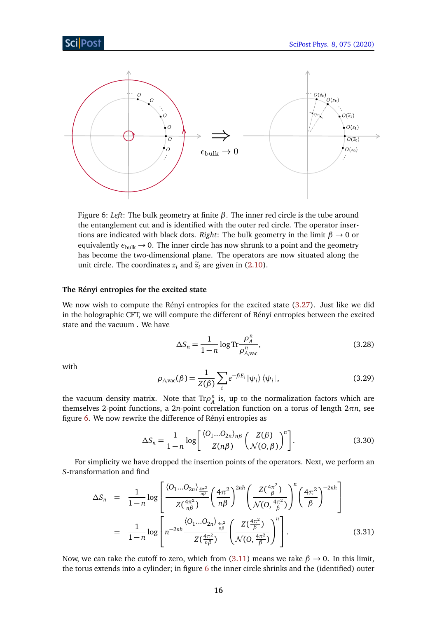<span id="page-16-0"></span>

Figure 6: *Left*: The bulk geometry at finite *β*. The inner red circle is the tube around the entanglement cut and is identified with the outer red circle. The operator insertions are indicated with black dots. *Right*: The bulk geometry in the limit *β* → 0 or equivalently  $\epsilon_{\text{bulk}} \rightarrow 0$ . The inner circle has now shrunk to a point and the geometry has become the two-dimensional plane. The operators are now situated along the unit circle. The coordinates  $z_i$  and  $\tilde{z}_i$  are given in [\(2.10\)](#page-6-2).

#### **The Rényi entropies for the excited state**

We now wish to compute the Rényi entropies for the excited state [\(3.27\)](#page-15-0). Just like we did in the holographic CFT, we will compute the different of Rényi entropies between the excited state and the vacuum . We have

$$
\Delta S_n = \frac{1}{1 - n} \log \text{Tr} \frac{\rho_A^n}{\rho_{A, \text{vac}}^n},\tag{3.28}
$$

with

$$
\rho_{A,\text{vac}}(\beta) = \frac{1}{Z(\beta)} \sum_{i} e^{-\beta E_i} |\psi_i\rangle \langle \psi_i|, \qquad (3.29)
$$

the vacuum density matrix. Note that  $\text{Tr} \rho_A^n$  is, up to the normalization factors which are themselves 2-point functions, a 2*n*-point correlation function on a torus of length 2*πn*, see figure [6.](#page-16-0) We now rewrite the difference of Rényi entropies as

$$
\Delta S_n = \frac{1}{1-n} \log \left[ \frac{\langle O_1...O_{2n} \rangle_{n\beta}}{Z(n\beta)} \left( \frac{Z(\beta)}{\mathcal{N}(O,\beta)} \right)^n \right].
$$
 (3.30)

For simplicity we have dropped the insertion points of the operators. Next, we perform an *S*-transformation and find

$$
\Delta S_n = \frac{1}{1-n} \log \left[ \frac{\langle O_1...O_{2n} \rangle_{\frac{4\pi^2}{n\beta}}}{Z(\frac{4\pi^2}{n\beta})} \left( \frac{4\pi^2}{n\beta} \right)^{2nh} \left( \frac{Z(\frac{4\pi^2}{\beta})}{\mathcal{N}(O, \frac{4\pi^2}{\beta})} \right)^n \left( \frac{4\pi^2}{\beta} \right)^{-2nh} \right]
$$
  

$$
= \frac{1}{1-n} \log \left[ n^{-2nh} \frac{\langle O_1...O_{2n} \rangle_{\frac{4\pi^2}{n\beta}}}{Z(\frac{4\pi^2}{n\beta})} \left( \frac{Z(\frac{4\pi^2}{\beta})}{\mathcal{N}(O, \frac{4\pi^2}{\beta})} \right)^n \right].
$$
 (3.31)

Now, we can take the cutoff to zero, which from [\(3.11\)](#page-12-1) means we take  $\beta \rightarrow 0$ . In this limit, the torus extends into a cylinder; in figure  $6$  the inner circle shrinks and the (identified) outer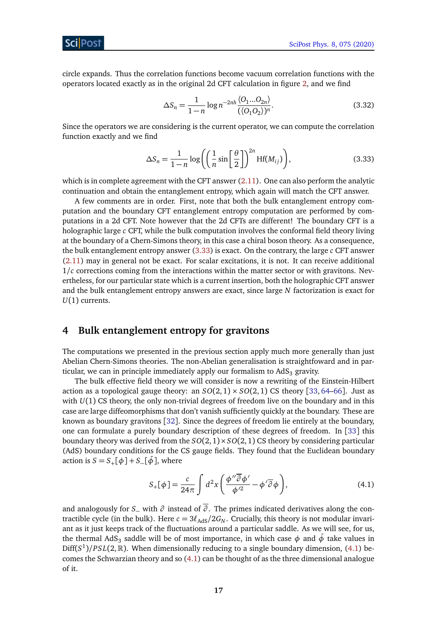### ScilPos<sup>.</sup>

circle expands. Thus the correlation functions become vacuum correlation functions with the operators located exactly as in the original 2d CFT calculation in figure [2,](#page-7-0) and we find

$$
\Delta S_n = \frac{1}{1 - n} \log n^{-2nh} \frac{\langle O_1 ... O_{2n} \rangle}{(\langle O_1 O_2 \rangle)^n}.
$$
\n(3.32)

Since the operators we are considering is the current operator, we can compute the correlation function exactly and we find

<span id="page-17-1"></span>
$$
\Delta S_n = \frac{1}{1-n} \log \left( \left( \frac{1}{n} \sin \left[ \frac{\theta}{2} \right] \right)^{2n} \text{Hf}(M_{ij}) \right),\tag{3.33}
$$

which is in complete agreement with the CFT answer [\(2.11\)](#page-7-2). One can also perform the analytic continuation and obtain the entanglement entropy, which again will match the CFT answer.

A few comments are in order. First, note that both the bulk entanglement entropy computation and the boundary CFT entanglement entropy computation are performed by computations in a 2d CFT. Note however that the 2d CFTs are different! The boundary CFT is a holographic large *c* CFT, while the bulk computation involves the conformal field theory living at the boundary of a Chern-Simons theory, in this case a chiral boson theory. As a consequence, the bulk entanglement entropy answer [\(3.33\)](#page-17-1) is exact. On the contrary, the large *c* CFT answer [\(2.11\)](#page-7-2) may in general not be exact. For scalar excitations, it is not. It can receive additional 1*/c* corrections coming from the interactions within the matter sector or with gravitons. Nevertheless, for our particular state which is a current insertion, both the holographic CFT answer and the bulk entanglement entropy answers are exact, since large *N* factorization is exact for *U*(1) currents.

## <span id="page-17-0"></span>**4 Bulk entanglement entropy for gravitons**

The computations we presented in the previous section apply much more generally than just Abelian Chern-Simons theories. The non-Abelian generalisation is straightfoward and in particular, we can in principle immediately apply our formalism to  $AdS<sub>3</sub>$  gravity.

The bulk effective field theory we will consider is now a rewriting of the Einstein-Hilbert action as a topological gauge theory: an  $SO(2,1) \times SO(2,1)$  CS theory [[33,](#page-27-2) [64–](#page-29-0)[66](#page-29-1)]. Just as with *U*(1) CS theory, the only non-trivial degrees of freedom live on the boundary and in this case are large diffeomorphisms that don't vanish sufficiently quickly at the boundary. These are known as boundary gravitons [[32](#page-27-1)]. Since the degrees of freedom lie entirely at the boundary, one can formulate a purely boundary description of these degrees of freedom. In [[33](#page-27-2)] this boundary theory was derived from the  $SO(2,1) \times SO(2, 1)$  CS theory by considering particular (AdS) boundary conditions for the CS gauge fields. They found that the Euclidean boundary action is  $S = S_+[\phi] + S_-(\phi]$ , where

<span id="page-17-2"></span>
$$
S_{+}[\phi] = \frac{c}{24\pi} \int d^{2}x \left( \frac{\phi'' \overline{\partial} \phi'}{\phi'^{2}} - \phi' \overline{\partial} \phi \right), \tag{4.1}
$$

and analogously for *S*− with *∂* instead of *∂* . The primes indicated derivatives along the contractible cycle (in the bulk). Here  $c = 3\ell_{AdS}/2G_N$ . Crucially, this theory is not modular invariant as it just keeps track of the fluctuations around a particular saddle. As we will see, for us, the thermal AdS<sub>3</sub> saddle will be of most importance, in which case  $\phi$  and  $\bar{\phi}$  take values in Diff( $S^1$ )/PSL(2, R). When dimensionally reducing to a single boundary dimension, [\(4.1\)](#page-17-2) becomes the Schwarzian theory and so [\(4.1\)](#page-17-2) can be thought of as the three dimensional analogue of it.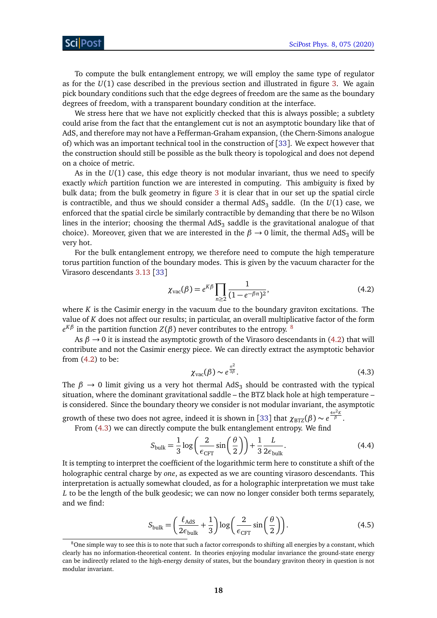To compute the bulk entanglement entropy, we will employ the same type of regulator as for the *U*(1) case described in the previous section and illustrated in figure [3.](#page-10-1) We again pick boundary conditions such that the edge degrees of freedom are the same as the boundary degrees of freedom, with a transparent boundary condition at the interface.

We stress here that we have not explicitly checked that this is always possible; a subtlety could arise from the fact that the entanglement cut is not an asymptotic boundary like that of AdS, and therefore may not have a Fefferman-Graham expansion, (the Chern-Simons analogue of) which was an important technical tool in the construction of [[33](#page-27-2)]. We expect however that the construction should still be possible as the bulk theory is topological and does not depend on a choice of metric.

As in the  $U(1)$  case, this edge theory is not modular invariant, thus we need to specify exactly *which* partition function we are interested in computing. This ambiguity is fixed by bulk data; from the bulk geometry in figure [3](#page-10-1) it is clear that in our set up the spatial circle is contractible, and thus we should consider a thermal  $\mathrm{AdS}_3$  saddle. (In the  $U(1)$  case, we enforced that the spatial circle be similarly contractible by demanding that there be no Wilson lines in the interior; choosing the thermal AdS $_3$  saddle is the gravitational analogue of that choice). Moreover, given that we are interested in the  $\beta \rightarrow 0$  limit, the thermal AdS<sub>3</sub> will be very hot.

For the bulk entanglement entropy, we therefore need to compute the high temperature torus partition function of the boundary modes. This is given by the vacuum character for the Virasoro descendants [3.13](#page-12-2) [[33](#page-27-2)]

<span id="page-18-0"></span>
$$
\chi_{\text{vac}}(\beta) = e^{K\beta} \prod_{n \ge 2} \frac{1}{(1 - e^{-\beta n})^2},\tag{4.2}
$$

where  $K$  is the Casimir energy in the vacuum due to the boundary graviton excitations. The value of *K* does not affect our results; in particular, an overall multiplicative factor of the form  $e^{K\beta}$  in the partition function *Z*(*β*) never contributes to the entropy.  $^8$  $^8$ 

<span id="page-18-1"></span>As  $\beta \rightarrow 0$  it is instead the asymptotic growth of the Virasoro descendants in [\(4.2\)](#page-18-0) that will contribute and not the Casimir energy piece. We can directly extract the asymptotic behavior from [\(4.2\)](#page-18-0) to be:

$$
\chi_{\text{vac}}(\beta) \sim e^{\frac{\pi^2}{3\beta}}.\tag{4.3}
$$

The  $\beta \rightarrow 0$  limit giving us a very hot thermal AdS<sub>3</sub> should be contrasted with the typical situation, where the dominant gravitational saddle – the BTZ black hole at high temperature – is considered. Since the boundary theory we consider is not modular invariant, the asymptotic

growth of these two does not agree, indeed it is shown in [[33](#page-27-2)] that  $\chi_{\rm BTZ}(\beta) \sim e^{\frac{4\pi^2 K}{\beta}}.$ 

From [\(4.3\)](#page-18-1) we can directly compute the bulk entanglement entropy. We find

$$
S_{\text{bulk}} = \frac{1}{3} \log \left( \frac{2}{\epsilon_{\text{CFT}}} \sin \left( \frac{\theta}{2} \right) \right) + \frac{1}{3} \frac{L}{2\epsilon_{\text{bulk}}}.
$$
 (4.4)

It is tempting to interpret the coefficient of the logarithmic term here to constitute a shift of the holographic central charge by *one*, as expected as we are counting virasoro descendants. This interpretation is actually somewhat clouded, as for a holographic interpretation we must take *L* to be the length of the bulk geodesic; we can now no longer consider both terms separately, and we find:

$$
S_{\text{bulk}} = \left(\frac{\ell_{\text{AdS}}}{2\epsilon_{\text{bulk}}} + \frac{1}{3}\right) \log\left(\frac{2}{\epsilon_{\text{CFT}}} \sin\left(\frac{\theta}{2}\right)\right). \tag{4.5}
$$

<sup>&</sup>lt;sup>8</sup>One simple way to see this is to note that such a factor corresponds to shifting all energies by a constant, which clearly has no information-theoretical content. In theories enjoying modular invariance the ground-state energy can be indirectly related to the high-energy density of states, but the boundary graviton theory in question is not modular invariant.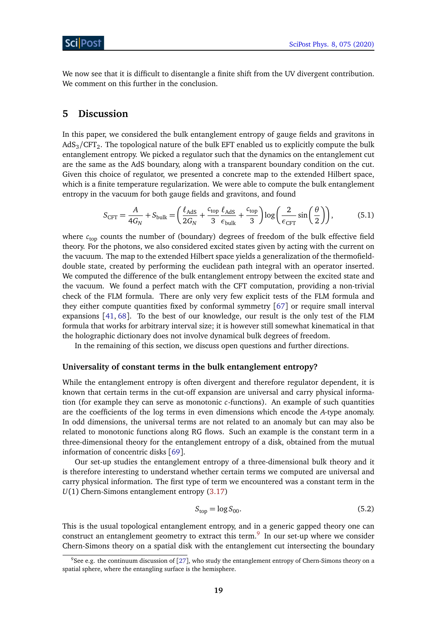We now see that it is difficult to disentangle a finite shift from the UV divergent contribution. We comment on this further in the conclusion.

## <span id="page-19-0"></span>**5 Discussion**

In this paper, we considered the bulk entanglement entropy of gauge fields and gravitons in AdS $_{3}/\mathrm{CFT}_2.$  The topological nature of the bulk EFT enabled us to explicitly compute the bulk entanglement entropy. We picked a regulator such that the dynamics on the entanglement cut are the same as the AdS boundary, along with a transparent boundary condition on the cut. Given this choice of regulator, we presented a concrete map to the extended Hilbert space, which is a finite temperature regularization. We were able to compute the bulk entanglement entropy in the vacuum for both gauge fields and gravitons, and found

<span id="page-19-1"></span>
$$
S_{\text{CFT}} = \frac{A}{4G_N} + S_{\text{bulk}} = \left(\frac{\ell_{\text{AdS}}}{2G_N} + \frac{c_{\text{top}}}{3} \frac{\ell_{\text{AdS}}}{\epsilon_{\text{bulk}}} + \frac{c_{\text{top}}}{3}\right) \log\left(\frac{2}{\epsilon_{\text{CFT}}} \sin\left(\frac{\theta}{2}\right)\right),\tag{5.1}
$$

where  $c_{\text{top}}$  counts the number of (boundary) degrees of freedom of the bulk effective field theory. For the photons, we also considered excited states given by acting with the current on the vacuum. The map to the extended Hilbert space yields a generalization of the thermofielddouble state, created by performing the euclidean path integral with an operator inserted. We computed the difference of the bulk entanglement entropy between the excited state and the vacuum. We found a perfect match with the CFT computation, providing a non-trivial check of the FLM formula. There are only very few explicit tests of the FLM formula and they either compute quantities fixed by conformal symmetry [[67](#page-29-2)] or require small interval expansions [[41,](#page-27-8) [68](#page-29-3)]. To the best of our knowledge, our result is the only test of the FLM formula that works for arbitrary interval size; it is however still somewhat kinematical in that the holographic dictionary does not involve dynamical bulk degrees of freedom.

In the remaining of this section, we discuss open questions and further directions.

### **Universality of constant terms in the bulk entanglement entropy?**

While the entanglement entropy is often divergent and therefore regulator dependent, it is known that certain terms in the cut-off expansion are universal and carry physical information (for example they can serve as monotonic *c*-functions). An example of such quantities are the coefficients of the log terms in even dimensions which encode the *A*-type anomaly. In odd dimensions, the universal terms are not related to an anomaly but can may also be related to monotonic functions along RG flows. Such an example is the constant term in a three-dimensional theory for the entanglement entropy of a disk, obtained from the mutual information of concentric disks [[69](#page-29-4)].

Our set-up studies the entanglement entropy of a three-dimensional bulk theory and it is therefore interesting to understand whether certain terms we computed are universal and carry physical information. The first type of term we encountered was a constant term in the *U*(1) Chern-Simons entanglement entropy [\(3.17\)](#page-13-0)

$$
S_{\text{top}} = \log S_{00}.\tag{5.2}
$$

This is the usual topological entanglement entropy, and in a generic gapped theory one can construct an entanglement geometry to extract this term.<sup>[9](#page-1-0)</sup> In our set-up where we consider Chern-Simons theory on a spatial disk with the entanglement cut intersecting the boundary

<sup>&</sup>lt;sup>9</sup>See e.g. the continuum discussion of [[27](#page-26-10)], who study the entanglement entropy of Chern-Simons theory on a spatial sphere, where the entangling surface is the hemisphere.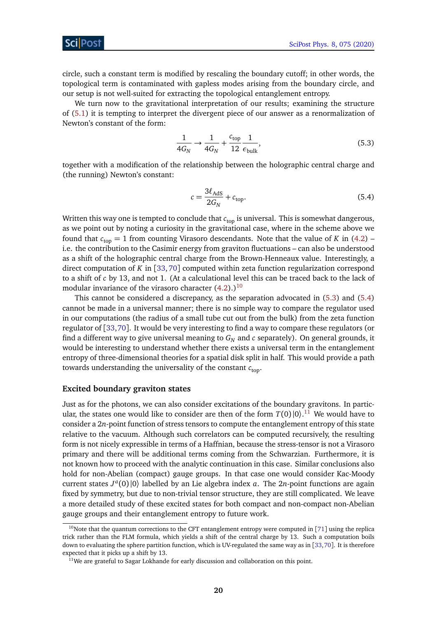circle, such a constant term is modified by rescaling the boundary cutoff; in other words, the topological term is contaminated with gapless modes arising from the boundary circle, and our setup is not well-suited for extracting the topological entanglement entropy.

We turn now to the gravitational interpretation of our results; examining the structure of [\(5.1\)](#page-19-1) it is tempting to interpret the divergent piece of our answer as a renormalization of Newton's constant of the form:

<span id="page-20-0"></span>
$$
\frac{1}{4G_N} \to \frac{1}{4G_N} + \frac{c_{\text{top}}}{12} \frac{1}{\epsilon_{\text{bulk}}},\tag{5.3}
$$

together with a modification of the relationship between the holographic central charge and (the running) Newton's constant:

<span id="page-20-1"></span>
$$
c = \frac{3\ell_{\text{AdS}}}{2G_N} + c_{\text{top}}.\tag{5.4}
$$

Written this way one is tempted to conclude that  $c_{top}$  is universal. This is somewhat dangerous, as we point out by noting a curiosity in the gravitational case, where in the scheme above we found that  $c_{top} = 1$  from counting Virasoro descendants. Note that the value of *K* in [\(4.2\)](#page-18-0) – i.e. the contribution to the Casimir energy from graviton fluctuations – can also be understood as a shift of the holographic central charge from the Brown-Henneaux value. Interestingly, a direct computation of *K* in [[33,](#page-27-2)[70](#page-29-5)] computed within zeta function regularization correspond to a shift of *c* by 13, and not 1. (At a calculational level this can be traced back to the lack of modular invariance of the virasoro character  $(4.2)$ .)<sup>[10](#page-1-0)</sup>

This cannot be considered a discrepancy, as the separation advocated in [\(5.3\)](#page-20-0) and [\(5.4\)](#page-20-1) cannot be made in a universal manner; there is no simple way to compare the regulator used in our computations (the radius of a small tube cut out from the bulk) from the zeta function regulator of [[33,](#page-27-2)[70](#page-29-5)]. It would be very interesting to find a way to compare these regulators (or find a different way to give universal meaning to  $G_N$  and  $c$  separately). On general grounds, it would be interesting to understand whether there exists a universal term in the entanglement entropy of three-dimensional theories for a spatial disk split in half. This would provide a path towards understanding the universality of the constant  $c_{\text{top}}$ .

#### **Excited boundary graviton states**

Just as for the photons, we can also consider excitations of the boundary gravitons. In particular, the states one would like to consider are then of the form  $T(0)|0\rangle .^{11}$  $T(0)|0\rangle .^{11}$  $T(0)|0\rangle .^{11}$  We would have to consider a 2*n*-point function of stress tensors to compute the entanglement entropy of this state relative to the vacuum. Although such correlators can be computed recursively, the resulting form is not nicely expressible in terms of a Haffnian, because the stress-tensor is not a Virasoro primary and there will be additional terms coming from the Schwarzian. Furthermore, it is not known how to proceed with the analytic continuation in this case. Similar conclusions also hold for non-Abelian (compact) gauge groups. In that case one would consider Kac-Moody current states  $J^a(0)$  |0 $\rangle$  labelled by an Lie algebra index *a*. The 2*n*-point functions are again fixed by symmetry, but due to non-trivial tensor structure, they are still complicated. We leave a more detailed study of these excited states for both compact and non-compact non-Abelian gauge groups and their entanglement entropy to future work.

 $10$ Note that the quantum corrections to the CFT entanglement entropy were computed in [[71](#page-29-6)] using the replica trick rather than the FLM formula, which yields a shift of the central charge by 13. Such a computation boils down to evaluating the sphere partition function, which is UV-regulated the same way as in [[33,](#page-27-2)[70](#page-29-5)]. It is therefore expected that it picks up a shift by 13.

<sup>&</sup>lt;sup>11</sup>We are grateful to Sagar Lokhande for early discussion and collaboration on this point.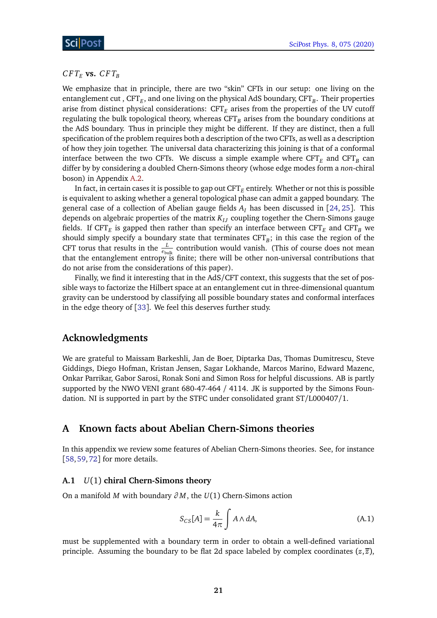## $CFT_E$  **vs.**  $CFT_B$

We emphasize that in principle, there are two "skin" CFTs in our setup: one living on the entanglement cut , CFT<sub>E</sub>, and one living on the physical AdS boundary, CFT<sub>B</sub>. Their properties arise from distinct physical considerations:  $CFT<sub>F</sub>$  arises from the properties of the UV cutoff regulating the bulk topological theory, whereas  $CFT<sub>B</sub>$  arises from the boundary conditions at the AdS boundary. Thus in principle they might be different. If they are distinct, then a full specification of the problem requires both a description of the two CFTs, as well as a description of how they join together. The universal data characterizing this joining is that of a conformal interface between the two CFTs. We discuss a simple example where  $\text{CFT}_E$  and  $\text{CFT}_B$  can differ by by considering a doubled Chern-Simons theory (whose edge modes form a *non*-chiral boson) in Appendix [A.2.](#page-23-0)

In fact, in certain cases it is possible to gap out  $CFT<sub>E</sub>$  entirely. Whether or not this is possible is equivalent to asking whether a general topological phase can admit a gapped boundary. The general case of a collection of Abelian gauge fields *A<sup>I</sup>* has been discussed in [[24,](#page-26-7) [25](#page-26-8)]. This depends on algebraic properties of the matrix  $K_{IJ}$  coupling together the Chern-Simons gauge fields. If  $\text{CFT}_E$  is gapped then rather than specify an interface between  $\text{CFT}_E$  and  $\text{CFT}_B$  we should simply specify a boundary state that terminates  $\mathrm{CFT}_B ;$  in this case the region of the CFT torus that results in the  $\frac{L}{\epsilon_{\text{bulk}}}$  contribution would vanish. (This of course does not mean that the entanglement entropy is finite; there will be other non-universal contributions that do not arise from the considerations of this paper).

Finally, we find it interesting that in the AdS/CFT context, this suggests that the set of possible ways to factorize the Hilbert space at an entanglement cut in three-dimensional quantum gravity can be understood by classifying all possible boundary states and conformal interfaces in the edge theory of [[33](#page-27-2)]. We feel this deserves further study.

## **Acknowledgments**

We are grateful to Maissam Barkeshli, Jan de Boer, Diptarka Das, Thomas Dumitrescu, Steve Giddings, Diego Hofman, Kristan Jensen, Sagar Lokhande, Marcos Marino, Edward Mazenc, Onkar Parrikar, Gabor Sarosi, Ronak Soni and Simon Ross for helpful discussions. AB is partly supported by the NWO VENI grant 680-47-464 / 4114. JK is supported by the Simons Foundation. NI is supported in part by the STFC under consolidated grant ST/L000407/1.

## <span id="page-21-0"></span>**A Known facts about Abelian Chern-Simons theories**

In this appendix we review some features of Abelian Chern-Simons theories. See, for instance [[58,](#page-28-9) [59,](#page-28-10) [72](#page-29-7)] for more details.

### <span id="page-21-1"></span>**A.1** *U*(1) **chiral Chern-Simons theory**

On a manifold *M* with boundary *∂ M*, the *U*(1) Chern-Simons action

$$
S_{CS}[A] = \frac{k}{4\pi} \int A \wedge dA,\tag{A.1}
$$

must be supplemented with a boundary term in order to obtain a well-defined variational principle. Assuming the boundary to be flat 2d space labeled by complex coordinates  $(z, \overline{z})$ ,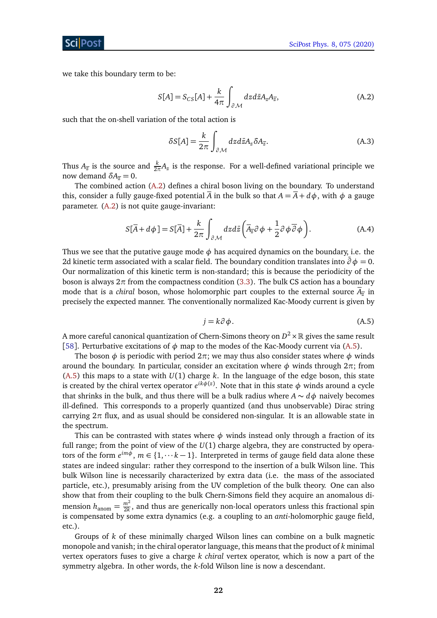we take this boundary term to be:

<span id="page-22-0"></span>
$$
S[A] = S_{CS}[A] + \frac{k}{4\pi} \int_{\partial \mathcal{M}} dz d\bar{z} A_z A_{\bar{z}},
$$
 (A.2)

such that the on-shell variation of the total action is

<span id="page-22-2"></span>
$$
\delta S[A] = \frac{k}{2\pi} \int_{\partial \mathcal{M}} dz d\bar{z} A_z \delta A_{\bar{z}}.
$$
 (A.3)

Thus  $A_{\overline{z}}$  is the source and  $\frac{k}{2\pi}A_z$  is the response. For a well-defined variational principle we now demand  $δA_{\overline{z}} = 0$ .

The combined action [\(A.2\)](#page-22-0) defines a chiral boson living on the boundary. To understand this, consider a fully gauge-fixed potential  $\overline{A}$  in the bulk so that  $A = \overline{A} + d\phi$ , with  $\phi$  a gauge parameter. [\(A.2\)](#page-22-0) is not quite gauge-invariant:

$$
S[\overline{A} + d\phi] = S[\overline{A}] + \frac{k}{2\pi} \int_{\partial \mathcal{M}} dz d\overline{z} \left( \overline{A}_{\overline{z}} \partial \phi + \frac{1}{2} \partial \phi \overline{\partial} \phi \right).
$$
 (A.4)

Thus we see that the putative gauge mode  $\phi$  has acquired dynamics on the boundary, i.e. the 2d kinetic term associated with a scalar field. The boundary condition translates into  $\bar{\partial} \phi = 0$ . Our normalization of this kinetic term is non-standard; this is because the periodicity of the boson is always  $2π$  from the compactness condition [\(3.3\)](#page-8-3). The bulk CS action has a boundary mode that is a *chiral* boson, whose holomorphic part couples to the external source  $A_{\overline{z}}$  in precisely the expected manner. The conventionally normalized Kac-Moody current is given by

$$
j = k \partial \phi. \tag{A.5}
$$

<span id="page-22-1"></span>A more careful canonical quantization of Chern-Simons theory on  $D^2 \times \mathbb{R}$  gives the same result [[58](#page-28-9)]. Perturbative excitations of *φ* map to the modes of the Kac-Moody current via [\(A.5\)](#page-22-1).

The boson  $\phi$  is periodic with period  $2\pi$ ; we may thus also consider states where  $\phi$  winds around the boundary. In particular, consider an excitation where *φ* winds through 2*π*; from  $(A.5)$  this maps to a state with  $U(1)$  charge *k*. In the language of the edge boson, this state is created by the chiral vertex operator  $e^{ik\phi(z)}$ . Note that in this state  $\phi$  winds around a cycle that shrinks in the bulk, and thus there will be a bulk radius where  $A \sim d\phi$  naively becomes ill-defined. This corresponds to a properly quantized (and thus unobservable) Dirac string carrying 2*π* flux, and as usual should be considered non-singular. It is an allowable state in the spectrum.

This can be contrasted with states where  $\phi$  winds instead only through a fraction of its full range; from the point of view of the *U*(1) charge algebra, they are constructed by operators of the form  $e^{im\phi}$ ,  $m \in \{1, \dots k-1\}$ . Interpreted in terms of gauge field data alone these states are indeed singular: rather they correspond to the insertion of a bulk Wilson line. This bulk Wilson line is necessarily characterized by extra data (i.e. the mass of the associated particle, etc.), presumably arising from the UV completion of the bulk theory. One can also show that from their coupling to the bulk Chern-Simons field they acquire an anomalous dimension  $h_{\text{anom}} = \frac{m^2}{2k}$  $\frac{m}{2k}$ , and thus are generically non-local operators unless this fractional spin is compensated by some extra dynamics (e.g. a coupling to an *anti*-holomorphic gauge field, etc.).

Groups of *k* of these minimally charged Wilson lines can combine on a bulk magnetic monopole and vanish; in the chiral operator language, this means that the product of *k* minimal vertex operators fuses to give a charge *k chiral* vertex operator, which is now a part of the symmetry algebra. In other words, the *k*-fold Wilson line is now a descendant.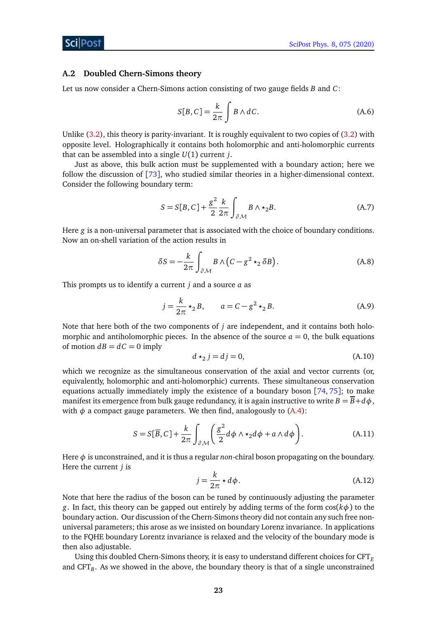#### <span id="page-23-0"></span>**A.2 Doubled Chern-Simons theory**

Let us now consider a Chern-Simons action consisting of two gauge fields *B* and *C*:

$$
S[B, C] = \frac{k}{2\pi} \int B \wedge dC.
$$
 (A.6)

Unlike [\(3.2\)](#page-8-4), this theory is parity-invariant. It is roughly equivalent to two copies of [\(3.2\)](#page-8-4) with opposite level. Holographically it contains both holomorphic and anti-holomorphic currents that can be assembled into a single *U*(1) current *j*.

Just as above, this bulk action must be supplemented with a boundary action; here we follow the discussion of [[73](#page-29-8)], who studied similar theories in a higher-dimensional context. Consider the following boundary term:

$$
S = S[B, C] + \frac{g^2}{2} \frac{k}{2\pi} \int_{\partial \mathcal{M}} B \wedge \star_2 B.
$$
 (A.7)

Here *g* is a non-universal parameter that is associated with the choice of boundary conditions. Now an on-shell variation of the action results in

$$
\delta S = -\frac{k}{2\pi} \int_{\partial \mathcal{M}} B \wedge (C - g^2 \star_2 \delta B). \tag{A.8}
$$

This prompts us to identify a current *j* and a source *a* as

$$
j = \frac{k}{2\pi} \star_2 B, \qquad a = C - g^2 \star_2 B.
$$
 (A.9)

Note that here both of the two components of *j* are independent, and it contains both holomorphic and antiholomorphic pieces. In the absence of the source  $a = 0$ , the bulk equations of motion  $dB = dC = 0$  imply

$$
d \star_2 j = dj = 0,\tag{A.10}
$$

which we recognize as the simultaneous conservation of the axial and vector currents (or, equivalently, holomorphic and anti-holomorphic) currents. These simultaneous conservation equations actually immediately imply the existence of a boundary boson [[74,](#page-29-9) [75](#page-29-10)]; to make manifest its emergence from bulk gauge redundancy, it is again instructive to write  $B = \overline{B} + d\phi$ , with  $\phi$  a compact gauge parameters. We then find, analogously to [\(A.4\)](#page-22-2):

$$
S = S[\overline{B}, C] + \frac{k}{2\pi} \int_{\partial M} \left( \frac{g^2}{2} d\phi \wedge \star_2 d\phi + a \wedge d\phi \right). \tag{A.11}
$$

Here *φ* is unconstrained, and it is thus a regular *non*-chiral boson propagating on the boundary. Here the current *j* is

$$
j = \frac{k}{2\pi} \star d\phi. \tag{A.12}
$$

Note that here the radius of the boson can be tuned by continuously adjusting the parameter *g*. In fact, this theory can be gapped out entirely by adding terms of the form cos(*kφ*) to the boundary action. Our discussion of the Chern-Simons theory did not contain any such free nonuniversal parameters; this arose as we insisted on boundary Lorenz invariance. In applications to the FQHE boundary Lorentz invariance is relaxed and the velocity of the boundary mode is then also adjustable.

Using this doubled Chern-Simons theory, it is easy to understand different choices for CFT*<sup>E</sup>* and CFT<sub>B</sub>. As we showed in the above, the boundary theory is that of a single unconstrained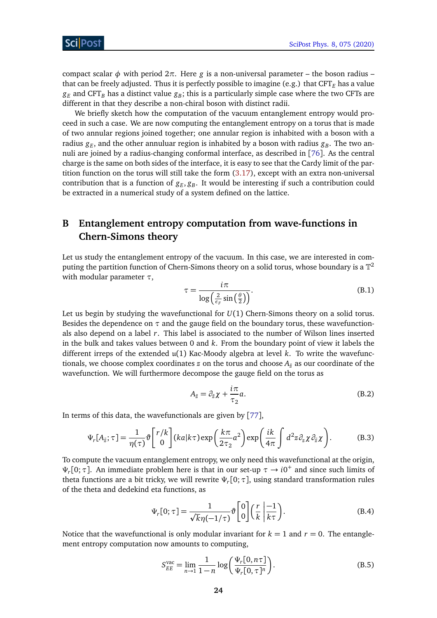compact scalar φ with period  $2π$ . Here *g* is a non-universal parameter – the boson radius – that can be freely adjusted. Thus it is perfectly possible to imagine (e.g.) that  $CFT<sub>E</sub>$  has a value  $g_{\it E}$  and CFT $_{\it B}$  has a distinct value  $g_{\it B}$ ; this is a particularly simple case where the two CFTs are different in that they describe a non-chiral boson with distinct radii.

We briefly sketch how the computation of the vacuum entanglement entropy would proceed in such a case. We are now computing the entanglement entropy on a torus that is made of two annular regions joined together; one annular region is inhabited with a boson with a radius  $g_E$ , and the other annuluar region is inhabited by a boson with radius  $g_B$ . The two annuli are joined by a radius-changing conformal interface, as described in [[76](#page-29-11)]. As the central charge is the same on both sides of the interface, it is easy to see that the Cardy limit of the partition function on the torus will still take the form [\(3.17\)](#page-13-0), except with an extra non-universal contribution that is a function of  $g_E, g_B$ . It would be interesting if such a contribution could be extracted in a numerical study of a system defined on the lattice.

# <span id="page-24-0"></span>**B Entanglement entropy computation from wave-functions in Chern-Simons theory**

Let us study the entanglement entropy of the vacuum. In this case, we are interested in computing the partition function of Chern-Simons theory on a solid torus, whose boundary is a  $\mathbb{T}^2$ with modular parameter *τ*,

$$
\tau = \frac{i\pi}{\log\left(\frac{2}{\epsilon_F}\sin\left(\frac{\theta}{2}\right)\right)}.\tag{B.1}
$$

Let us begin by studying the wavefunctional for *U*(1) Chern-Simons theory on a solid torus. Besides the dependence on  $\tau$  and the gauge field on the boundary torus, these wavefunctionals also depend on a label *r*. This label is associated to the number of Wilson lines inserted in the bulk and takes values between 0 and *k*. From the boundary point of view it labels the different irreps of the extended u(1) Kac-Moody algebra at level *k*. To write the wavefunctionals, we choose complex coordinates  $z$  on the torus and choose  $A_{\bar{z}}$  as our coordinate of the wavefunction. We will furthermore decompose the gauge field on the torus as

$$
A_{\bar{z}} = \partial_{\bar{z}} \chi + \frac{i\pi}{\tau_2} a. \tag{B.2}
$$

In terms of this data, the wavefunctionals are given by [[77](#page-29-12)],

$$
\Psi_r[A_{\bar{z}};\tau] = \frac{1}{\eta(\tau)} \vartheta \begin{bmatrix} r/k \\ 0 \end{bmatrix} (ka|k\tau) \exp\left(\frac{k\pi}{2\tau_2} a^2\right) \exp\left(\frac{ik}{4\pi} \int d^2 z \partial_z \chi \partial_{\bar{z}} \chi\right). \tag{B.3}
$$

To compute the vacuum entanglement entropy, we only need this wavefunctional at the origin, *Ψ*<sub>*r*</sub>[0; *τ*]. An immediate problem here is that in our set-up *τ* → *i*0<sup>+</sup> and since such limits of theta functions are a bit tricky, we will rewrite *Ψ<sup>r</sup>* [0;*τ*], using standard transformation rules of the theta and dedekind eta functions, as

$$
\Psi_r[0; \tau] = \frac{1}{\sqrt{k}\eta(-1/\tau)} \vartheta \begin{bmatrix} 0\\0 \end{bmatrix} \left(\frac{r}{k} \middle| \frac{-1}{k\tau} \right). \tag{B.4}
$$

Notice that the wavefunctional is only modular invariant for  $k = 1$  and  $r = 0$ . The entanglement entropy computation now amounts to computing,

$$
S_{EE}^{\text{vac}} = \lim_{n \to 1} \frac{1}{1 - n} \log \left( \frac{\Psi_r[0, n\tau]}{\Psi_r[0, \tau]^n} \right).
$$
 (B.5)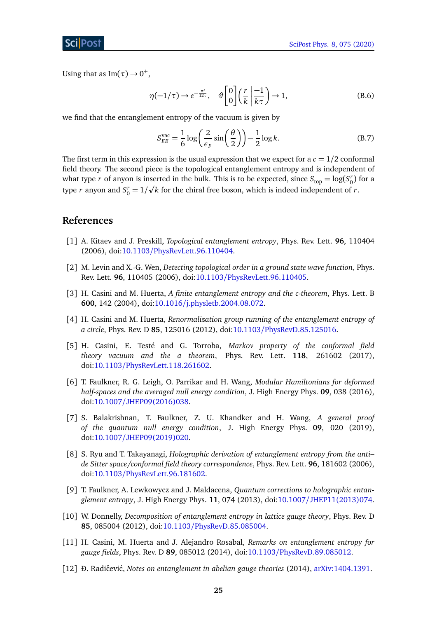Using that as  $Im(\tau) \rightarrow 0^+,$ 

$$
\eta(-1/\tau) \to e^{-\frac{\pi i}{12\tau}}, \quad \vartheta \begin{bmatrix} 0\\0 \end{bmatrix} \left(\frac{r}{k} \middle| \frac{-1}{k\tau} \right) \to 1,\tag{B.6}
$$

we find that the entanglement entropy of the vacuum is given by

<span id="page-25-0"></span>
$$
S_{EE}^{\text{vac}} = \frac{1}{6} \log \left( \frac{2}{\epsilon_F} \sin \left( \frac{\theta}{2} \right) \right) - \frac{1}{2} \log k. \tag{B.7}
$$

The first term in this expression is the usual expression that we expect for a  $c = 1/2$  conformal field theory. The second piece is the topological entanglement entropy and is independent of what type *r* of anyon is inserted in the bulk. This is to be expected, since  $S_{\text{top}} = \log(S_0^r)$  for a type *r* anyon and  $S_0^r = 1/\sqrt{k}$  for the chiral free boson, which is indeed independent of *r*.

## **References**

- <span id="page-25-1"></span>[1] A. Kitaev and J. Preskill, *Topological entanglement entropy*, Phys. Rev. Lett. **96**, 110404 (2006), doi:10.1103/[PhysRevLett.96.110404.](http://dx.doi.org/10.1103/PhysRevLett.96.110404)
- <span id="page-25-2"></span>[2] M. Levin and X.-G. Wen, *Detecting topological order in a ground state wave function*, Phys. Rev. Lett. **96**, 110405 (2006), doi:10.1103/[PhysRevLett.96.110405.](http://dx.doi.org/10.1103/PhysRevLett.96.110405)
- <span id="page-25-3"></span>[3] H. Casini and M. Huerta, *A finite entanglement entropy and the c-theorem*, Phys. Lett. B **600**, 142 (2004), doi:10.1016/[j.physletb.2004.08.072.](http://dx.doi.org/10.1016/j.physletb.2004.08.072)
- [4] H. Casini and M. Huerta, *Renormalization group running of the entanglement entropy of a circle*, Phys. Rev. D **85**, 125016 (2012), doi:10.1103/[PhysRevD.85.125016.](http://dx.doi.org/10.1103/PhysRevD.85.125016)
- <span id="page-25-4"></span>[5] H. Casini, E. Testé and G. Torroba, *Markov property of the conformal field theory vacuum and the a theorem*, Phys. Rev. Lett. **118**, 261602 (2017), doi:10.1103/[PhysRevLett.118.261602.](http://dx.doi.org/10.1103/PhysRevLett.118.261602)
- <span id="page-25-5"></span>[6] T. Faulkner, R. G. Leigh, O. Parrikar and H. Wang, *Modular Hamiltonians for deformed half-spaces and the averaged null energy condition*, J. High Energy Phys. **09**, 038 (2016), doi:10.1007/[JHEP09\(2016\)038.](http://dx.doi.org/10.1007/JHEP09(2016)038)
- <span id="page-25-6"></span>[7] S. Balakrishnan, T. Faulkner, Z. U. Khandker and H. Wang, *A general proof of the quantum null energy condition*, J. High Energy Phys. **09**, 020 (2019), doi:10.1007/[JHEP09\(2019\)020.](http://dx.doi.org/10.1007/JHEP09(2019)020)
- <span id="page-25-7"></span>[8] S. Ryu and T. Takayanagi, *Holographic derivation of entanglement entropy from the anti– de Sitter space/conformal field theory correspondence*, Phys. Rev. Lett. **96**, 181602 (2006), doi:10.1103/[PhysRevLett.96.181602.](http://dx.doi.org/10.1103/PhysRevLett.96.181602)
- <span id="page-25-8"></span>[9] T. Faulkner, A. Lewkowycz and J. Maldacena, *Quantum corrections to holographic entanglement entropy*, J. High Energy Phys. **11**, 074 (2013), doi:10.1007/[JHEP11\(2013\)074.](http://dx.doi.org/10.1007/JHEP11(2013)074)
- <span id="page-25-9"></span>[10] W. Donnelly, *Decomposition of entanglement entropy in lattice gauge theory*, Phys. Rev. D **85**, 085004 (2012), doi:10.1103/[PhysRevD.85.085004.](http://dx.doi.org/10.1103/PhysRevD.85.085004)
- [11] H. Casini, M. Huerta and J. Alejandro Rosabal, *Remarks on entanglement entropy for gauge fields*, Phys. Rev. D **89**, 085012 (2014), doi:10.1103/[PhysRevD.89.085012.](http://dx.doi.org/10.1103/PhysRevD.89.085012)
- [12] Đ. Radičević, *Notes on entanglement in abelian gauge theories* (2014), [arXiv:1404.1391.](https://arxiv.org/abs/1404.1391)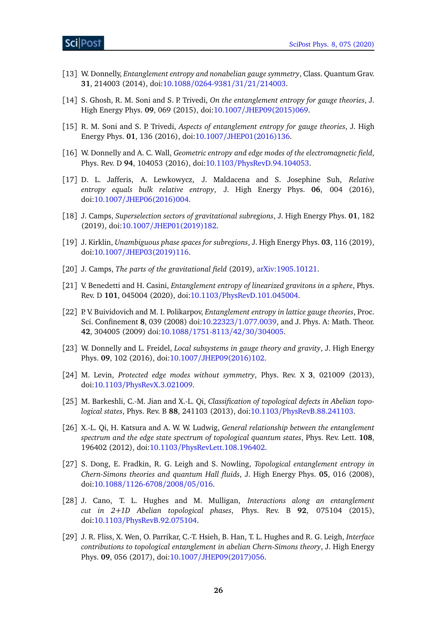- <span id="page-26-5"></span>[13] W. Donnelly, *Entanglement entropy and nonabelian gauge symmetry*, Class. Quantum Grav. **31**, 214003 (2014), doi:10.1088/[0264-9381](http://dx.doi.org/10.1088/0264-9381/31/21/214003)/31/21/214003.
- [14] S. Ghosh, R. M. Soni and S. P. Trivedi, *On the entanglement entropy for gauge theories*, J. High Energy Phys. **09**, 069 (2015), doi:10.1007/[JHEP09\(2015\)069.](http://dx.doi.org/10.1007/JHEP09(2015)069)
- [15] R. M. Soni and S. P. Trivedi, *Aspects of entanglement entropy for gauge theories*, J. High Energy Phys. **01**, 136 (2016), doi:10.1007/[JHEP01\(2016\)136.](http://dx.doi.org/10.1007/JHEP01(2016)136)
- <span id="page-26-0"></span>[16] W. Donnelly and A. C. Wall, *Geometric entropy and edge modes of the electromagnetic field*, Phys. Rev. D **94**, 104053 (2016), doi:10.1103/[PhysRevD.94.104053.](http://dx.doi.org/10.1103/PhysRevD.94.104053)
- <span id="page-26-1"></span>[17] D. L. Jafferis, A. Lewkowycz, J. Maldacena and S. Josephine Suh, *Relative entropy equals bulk relative entropy*, J. High Energy Phys. **06**, 004 (2016), doi:10.1007/[JHEP06\(2016\)004.](http://dx.doi.org/10.1007/JHEP06(2016)004)
- [18] J. Camps, *Superselection sectors of gravitational subregions*, J. High Energy Phys. **01**, 182 (2019), doi:10.1007/[JHEP01\(2019\)182.](http://dx.doi.org/10.1007/JHEP01(2019)182)
- [19] J. Kirklin, *Unambiguous phase spaces for subregions*, J. High Energy Phys. **03**, 116 (2019), doi:10.1007/[JHEP03\(2019\)116.](http://dx.doi.org/10.1007/JHEP03(2019)116)
- <span id="page-26-2"></span>[20] J. Camps, *The parts of the gravitational field* (2019), [arXiv:1905.10121.](https://arxiv.org/abs/1905.10121)
- <span id="page-26-3"></span>[21] V. Benedetti and H. Casini, *Entanglement entropy of linearized gravitons in a sphere*, Phys. Rev. D **101**, 045004 (2020), doi:10.1103/[PhysRevD.101.045004.](http://dx.doi.org/10.1103/PhysRevD.101.045004)
- <span id="page-26-4"></span>[22] P. V. Buividovich and M. I. Polikarpov, *Entanglement entropy in lattice gauge theories*, Proc. Sci. Confinement **8**, 039 (2008) doi:10.22323/[1.077.0039,](http://dx.doi.org/10.22323/1.077.0039) and J. Phys. A: Math. Theor. **42**, 304005 (2009) doi:10.1088/[1751-8113](http://dx.doi.org/10.1088/1751-8113/42/30/304005)/42/30/304005.
- <span id="page-26-6"></span>[23] W. Donnelly and L. Freidel, *Local subsystems in gauge theory and gravity*, J. High Energy Phys. **09**, 102 (2016), doi:10.1007/[JHEP09\(2016\)102.](http://dx.doi.org/10.1007/JHEP09(2016)102)
- <span id="page-26-7"></span>[24] M. Levin, *Protected edge modes without symmetry*, Phys. Rev. X **3**, 021009 (2013), doi:10.1103/[PhysRevX.3.021009.](http://dx.doi.org/10.1103/PhysRevX.3.021009)
- <span id="page-26-8"></span>[25] M. Barkeshli, C.-M. Jian and X.-L. Qi, *Classification of topological defects in Abelian topological states*, Phys. Rev. B **88**, 241103 (2013), doi:10.1103/[PhysRevB.88.241103.](http://dx.doi.org/10.1103/PhysRevB.88.241103)
- <span id="page-26-9"></span>[26] X.-L. Qi, H. Katsura and A. W. W. Ludwig, *General relationship between the entanglement spectrum and the edge state spectrum of topological quantum states*, Phys. Rev. Lett. **108**, 196402 (2012), doi:10.1103/[PhysRevLett.108.196402.](http://dx.doi.org/10.1103/PhysRevLett.108.196402)
- <span id="page-26-10"></span>[27] S. Dong, E. Fradkin, R. G. Leigh and S. Nowling, *Topological entanglement entropy in Chern-Simons theories and quantum Hall fluids*, J. High Energy Phys. **05**, 016 (2008), doi:10.1088/[1126-6708](http://dx.doi.org/10.1088/1126-6708/2008/05/016)/2008/05/016.
- [28] J. Cano, T. L. Hughes and M. Mulligan, *Interactions along an entanglement cut in 2+1D Abelian topological phases*, Phys. Rev. B **92**, 075104 (2015), doi:10.1103/[PhysRevB.92.075104.](http://dx.doi.org/10.1103/PhysRevB.92.075104)
- [29] J. R. Fliss, X. Wen, O. Parrikar, C.-T. Hsieh, B. Han, T. L. Hughes and R. G. Leigh, *Interface contributions to topological entanglement in abelian Chern-Simons theory*, J. High Energy Phys. **09**, 056 (2017), doi:10.1007/[JHEP09\(2017\)056.](http://dx.doi.org/10.1007/JHEP09(2017)056)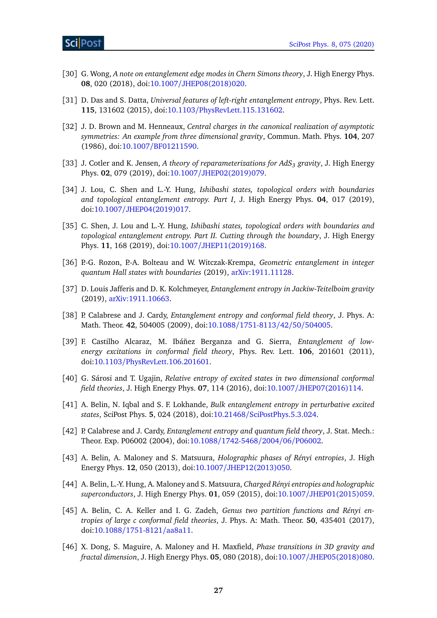- [30] G. Wong, *A note on entanglement edge modes in Chern Simons theory*, J. High Energy Phys. **08**, 020 (2018), doi:10.1007/[JHEP08\(2018\)020.](http://dx.doi.org/10.1007/JHEP08(2018)020)
- <span id="page-27-0"></span>[31] D. Das and S. Datta, *Universal features of left-right entanglement entropy*, Phys. Rev. Lett. **115**, 131602 (2015), doi:10.1103/[PhysRevLett.115.131602.](http://dx.doi.org/10.1103/PhysRevLett.115.131602)
- <span id="page-27-1"></span>[32] J. D. Brown and M. Henneaux, *Central charges in the canonical realization of asymptotic symmetries: An example from three dimensional gravity*, Commun. Math. Phys. **104**, 207 (1986), doi:10.1007/[BF01211590.](http://dx.doi.org/10.1007/BF01211590)
- <span id="page-27-2"></span>[33] J. Cotler and K. Jensen, *A theory of reparameterizations for AdS<sup>3</sup> gravity*, J. High Energy Phys. **02**, 079 (2019), doi:10.1007/[JHEP02\(2019\)079.](http://dx.doi.org/10.1007/JHEP02(2019)079)
- <span id="page-27-3"></span>[34] J. Lou, C. Shen and L.-Y. Hung, *Ishibashi states, topological orders with boundaries and topological entanglement entropy. Part I*, J. High Energy Phys. **04**, 017 (2019), doi:10.1007/[JHEP04\(2019\)017.](http://dx.doi.org/10.1007/JHEP04(2019)017)
- <span id="page-27-4"></span>[35] C. Shen, J. Lou and L.-Y. Hung, *Ishibashi states, topological orders with boundaries and topological entanglement entropy. Part II. Cutting through the boundary*, J. High Energy Phys. **11**, 168 (2019), doi:10.1007/[JHEP11\(2019\)168.](http://dx.doi.org/10.1007/JHEP11(2019)168)
- <span id="page-27-5"></span>[36] P.-G. Rozon, P.-A. Bolteau and W. Witczak-Krempa, *Geometric entanglement in integer quantum Hall states with boundaries* (2019), [arXiv:1911.11128.](https://arxiv.org/abs/1911.11128)
- <span id="page-27-6"></span>[37] D. Louis Jafferis and D. K. Kolchmeyer, *Entanglement entropy in Jackiw-Teitelboim gravity* (2019), [arXiv:1911.10663.](https://arxiv.org/abs/1911.10663)
- <span id="page-27-7"></span>[38] P. Calabrese and J. Cardy, *Entanglement entropy and conformal field theory*, J. Phys. A: Math. Theor. **42**, 504005 (2009), doi:10.1088/[1751-8113](http://dx.doi.org/10.1088/1751-8113/42/50/504005)/42/50/504005.
- <span id="page-27-11"></span>[39] F. Castilho Alcaraz, M. Ibáñez Berganza and G. Sierra, *Entanglement of lowenergy excitations in conformal field theory*, Phys. Rev. Lett. **106**, 201601 (2011), doi:10.1103/[PhysRevLett.106.201601.](http://dx.doi.org/10.1103/PhysRevLett.106.201601)
- [40] G. Sárosi and T. Ugajin, *Relative entropy of excited states in two dimensional conformal field theories*, J. High Energy Phys. **07**, 114 (2016), doi:10.1007/[JHEP07\(2016\)114.](http://dx.doi.org/10.1007/JHEP07(2016)114)
- <span id="page-27-8"></span>[41] A. Belin, N. Iqbal and S. F. Lokhande, *Bulk entanglement entropy in perturbative excited states*, SciPost Phys. **5**, 024 (2018), doi:10.21468/[SciPostPhys.5.3.024.](http://dx.doi.org/10.21468/SciPostPhys.5.3.024)
- <span id="page-27-9"></span>[42] P. Calabrese and J. Cardy, *Entanglement entropy and quantum field theory*, J. Stat. Mech.: Theor. Exp. P06002 (2004), doi:10.1088/[1742-5468](http://dx.doi.org/10.1088/1742-5468/2004/06/P06002)/2004/06/P06002.
- <span id="page-27-10"></span>[43] A. Belin, A. Maloney and S. Matsuura, *Holographic phases of Rényi entropies*, J. High Energy Phys. **12**, 050 (2013), doi:10.1007/[JHEP12\(2013\)050.](http://dx.doi.org/10.1007/JHEP12(2013)050)
- [44] A. Belin, L.-Y. Hung, A. Maloney and S. Matsuura, *Charged Rényi entropies and holographic superconductors*, J. High Energy Phys. **01**, 059 (2015), doi:10.1007/[JHEP01\(2015\)059.](http://dx.doi.org/10.1007/JHEP01(2015)059)
- [45] A. Belin, C. A. Keller and I. G. Zadeh, *Genus two partition functions and Rényi entropies of large c conformal field theories*, J. Phys. A: Math. Theor. **50**, 435401 (2017), doi:10.1088/[1751-8121](http://dx.doi.org/10.1088/1751-8121/aa8a11)/aa8a11.
- [46] X. Dong, S. Maguire, A. Maloney and H. Maxfield, *Phase transitions in 3D gravity and fractal dimension*, J. High Energy Phys. **05**, 080 (2018), doi:10.1007/[JHEP05\(2018\)080.](http://dx.doi.org/10.1007/JHEP05(2018)080)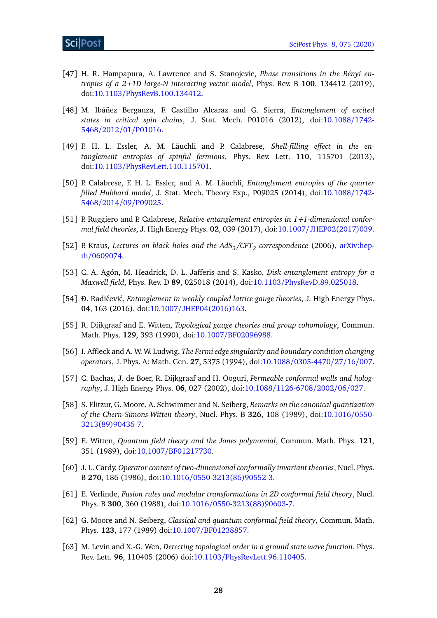- <span id="page-28-0"></span>[47] H. R. Hampapura, A. Lawrence and S. Stanojevic, *Phase transitions in the Rényi entropies of a 2+1D large-N interacting vector model*, Phys. Rev. B **100**, 134412 (2019), doi:10.1103/[PhysRevB.100.134412.](http://dx.doi.org/10.1103/PhysRevB.100.134412)
- <span id="page-28-1"></span>[48] M. Ibáñez Berganza, F. Castilho Alcaraz and G. Sierra, *Entanglement of excited states in critical spin chains*, J. Stat. Mech. P01016 (2012), doi[:10.1088](http://dx.doi.org/10.1088/1742-5468/2012/01/P01016)/1742- 5468/2012/01/[P01016.](http://dx.doi.org/10.1088/1742-5468/2012/01/P01016)
- [49] F. H. L. Essler, A. M. Läuchli and P. Calabrese, *Shell-filling effect in the entanglement entropies of spinful fermions*, Phys. Rev. Lett. **110**, 115701 (2013), doi:10.1103/[PhysRevLett.110.115701.](http://dx.doi.org/10.1103/PhysRevLett.110.115701)
- [50] P. Calabrese, F. H. L. Essler, and A. M. Läuchli, *Entanglement entropies of the quarter filled Hubbard model*, J. Stat. Mech. Theory Exp., P09025 (2014), doi[:10.1088](http://dx.doi.org/10.1088/1742-5468/2014/09/P09025)/1742- 5468/2014/09/[P09025.](http://dx.doi.org/10.1088/1742-5468/2014/09/P09025)
- <span id="page-28-2"></span>[51] P. Ruggiero and P. Calabrese, *Relative entanglement entropies in 1+1-dimensional conformal field theories*, J. High Energy Phys. **02**, 039 (2017), doi:10.1007/[JHEP02\(2017\)039.](http://dx.doi.org/10.1007/JHEP02(2017)039)
- <span id="page-28-3"></span>[52] P. Kraus, *Lectures on black holes and the AdS3/CFT<sup>2</sup> correspondence* (2006), [arXiv:hep](https://arxiv.org/abs/hep-th/0609074)th/[0609074.](https://arxiv.org/abs/hep-th/0609074)
- <span id="page-28-5"></span>[53] C. A. Agón, M. Headrick, D. L. Jafferis and S. Kasko, *Disk entanglement entropy for a Maxwell field*, Phys. Rev. D **89**, 025018 (2014), doi:10.1103/[PhysRevD.89.025018.](http://dx.doi.org/10.1103/PhysRevD.89.025018)
- <span id="page-28-6"></span>[54] Đ. Radičević, *Entanglement in weakly coupled lattice gauge theories*, J. High Energy Phys. **04**, 163 (2016), doi:10.1007/[JHEP04\(2016\)163.](http://dx.doi.org/10.1007/JHEP04(2016)163)
- <span id="page-28-4"></span>[55] R. Dijkgraaf and E. Witten, *Topological gauge theories and group cohomology*, Commun. Math. Phys. **129**, 393 (1990), doi:10.1007/[BF02096988.](http://dx.doi.org/10.1007/BF02096988)
- <span id="page-28-7"></span>[56] I. Affleck and A. W. W. Ludwig, *The Fermi edge singularity and boundary condition changing operators*, J. Phys. A: Math. Gen. **27**, 5375 (1994), doi:10.1088/[0305-4470](http://dx.doi.org/10.1088/0305-4470/27/16/007)/27/16/007.
- <span id="page-28-8"></span>[57] C. Bachas, J. de Boer, R. Dijkgraaf and H. Ooguri, *Permeable conformal walls and holography*, J. High Energy Phys. **06**, 027 (2002), doi:10.1088/[1126-6708](http://dx.doi.org/10.1088/1126-6708/2002/06/027)/2002/06/027.
- <span id="page-28-9"></span>[58] S. Elitzur, G. Moore, A. Schwimmer and N. Seiberg, *Remarks on the canonical quantization of the Chern-Simons-Witten theory*, Nucl. Phys. B **326**, 108 (1989), doi[:10.1016](http://dx.doi.org/10.1016/0550-3213(89)90436-7)/0550- [3213\(89\)90436-7.](http://dx.doi.org/10.1016/0550-3213(89)90436-7)
- <span id="page-28-10"></span>[59] E. Witten, *Quantum field theory and the Jones polynomial*, Commun. Math. Phys. **121**, 351 (1989), doi:10.1007/[BF01217730.](http://dx.doi.org/10.1007/BF01217730)
- <span id="page-28-11"></span>[60] J. L. Cardy, *Operator content of two-dimensional conformally invariant theories*, Nucl. Phys. B **270**, 186 (1986), doi:10.1016/[0550-3213\(86\)90552-3.](http://dx.doi.org/10.1016/0550-3213(86)90552-3)
- <span id="page-28-12"></span>[61] E. Verlinde, *Fusion rules and modular transformations in 2D conformal field theory*, Nucl. Phys. B **300**, 360 (1988), doi:10.1016/[0550-3213\(88\)90603-7.](http://dx.doi.org/10.1016/0550-3213(88)90603-7)
- <span id="page-28-13"></span>[62] G. Moore and N. Seiberg, *Classical and quantum conformal field theory*, Commun. Math. Phys. **123**, 177 (1989) doi:10.1007/[BF01238857.](http://dx.doi.org/10.1007/BF01238857)
- <span id="page-28-14"></span>[63] M. Levin and X.-G. Wen, *Detecting topological order in a ground state wave function*, Phys. Rev. Lett. **96**, 110405 (2006) doi:10.1103/[PhysRevLett.96.110405.](http://dx.doi.org/10.1103/PhysRevLett.96.110405)